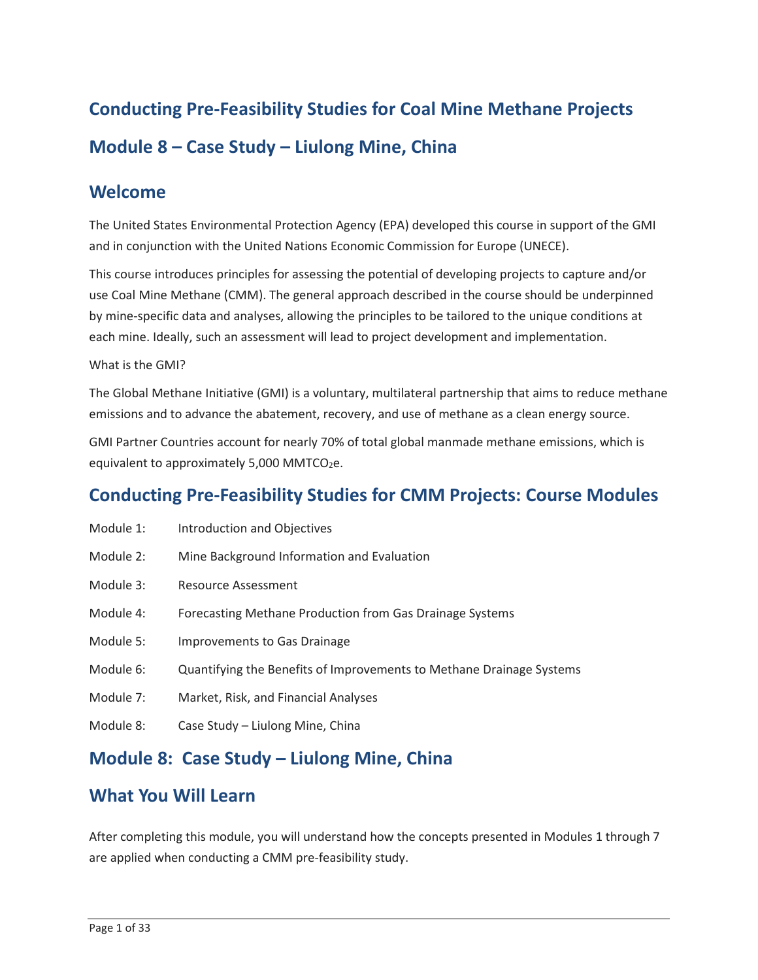# **Conducting Pre-Feasibility Studies for Coal Mine Methane Projects Module 8 – Case Study – Liulong Mine, China**

#### **Welcome**

 The United States Environmental Protection Agency (EPA) developed this course in support of the GMI and in conjunction with the United Nations Economic Commission for Europe (UNECE).

This course introduces principles for assessing the potential of developing projects to capture and/or use Coal Mine Methane (CMM). The general approach described in the course should be underpinned by mine-specific data and analyses, allowing the principles to be tailored to the unique conditions at each mine. Ideally, such an assessment will lead to project development and implementation.

#### What is the GMI?

 The Global Methane Initiative (GMI) is a voluntary, multilateral partnership that aims to reduce methane emissions and to advance the abatement, recovery, and use of methane as a clean energy source.

GMI Partner Countries account for nearly 70% of total global manmade methane emissions, which is equivalent to approximately  $5,000$  MMTCO<sub>2</sub>e.

### **Conducting Pre-Feasibility Studies for CMM Projects: Course Modules**

- Module 1: Introduction and Objectives
- Module 2: Mine Background Information and Evaluation
- Module 3: Resource Assessment
- Module 4: Forecasting Methane Production from Gas Drainage Systems
- Module 5: Improvements to Gas Drainage
- Module 6: Quantifying the Benefits of Improvements to Methane Drainage Systems
- Module 7: Market, Risk, and Financial Analyses
- Module 8: Case Study Liulong Mine, China

#### **Module 8: Case Study – Liulong Mine, China**

#### **What You Will Learn**

 After completing this module, you will understand how the concepts presented in Modules 1 through 7 are applied when conducting a CMM pre-feasibility study.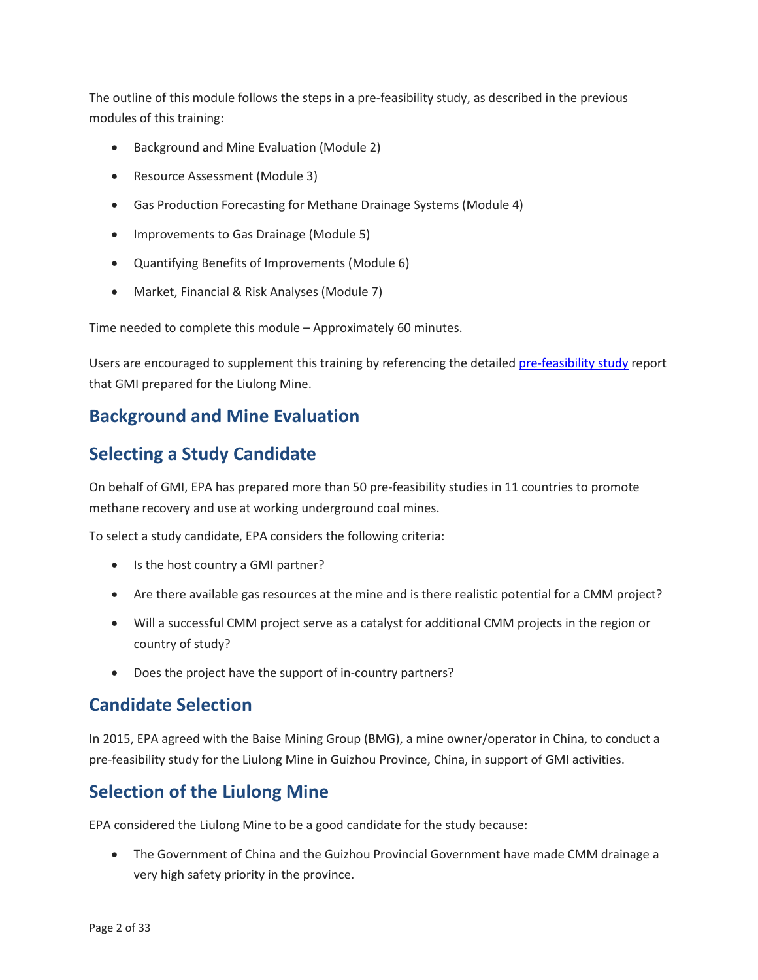The outline of this module follows the steps in a pre-feasibility study, as described in the previous modules of this training:

- Background and Mine Evaluation (Module 2)
- Resource Assessment (Module 3)
- Gas Production Forecasting for Methane Drainage Systems (Module 4)
- Improvements to Gas Drainage (Module 5)
- Quantifying Benefits of Improvements (Module 6)
- Market, Financial & Risk Analyses (Module 7)

Time needed to complete this module – Approximately 60 minutes.

Users are encouraged to supplement this training by referencing the detailed [pre-feasibility study](https://www.epa.gov/sites/production/files/2017-09/documents/cmop_liulong_cmm_report.pdf) report that GMI prepared for the Liulong Mine.

### **Background and Mine Evaluation**

### **Selecting a Study Candidate**

 On behalf of GMI, EPA has prepared more than 50 pre-feasibility studies in 11 countries to promote methane recovery and use at working underground coal mines.

To select a study candidate, EPA considers the following criteria:

- Is the host country a GMI partner?
- Are there available gas resources at the mine and is there realistic potential for a CMM project?
- Will a successful CMM project serve as a catalyst for additional CMM projects in the region or country of study?
- Does the project have the support of in-country partners?

### **Candidate Selection**

 In 2015, EPA agreed with the Baise Mining Group (BMG), a mine owner/operator in China, to conduct a pre-feasibility study for the Liulong Mine in Guizhou Province, China, in support of GMI activities.

### **Selection of the Liulong Mine**

EPA considered the Liulong Mine to be a good candidate for the study because:

 • The Government of China and the Guizhou Provincial Government have made CMM drainage a very high safety priority in the province.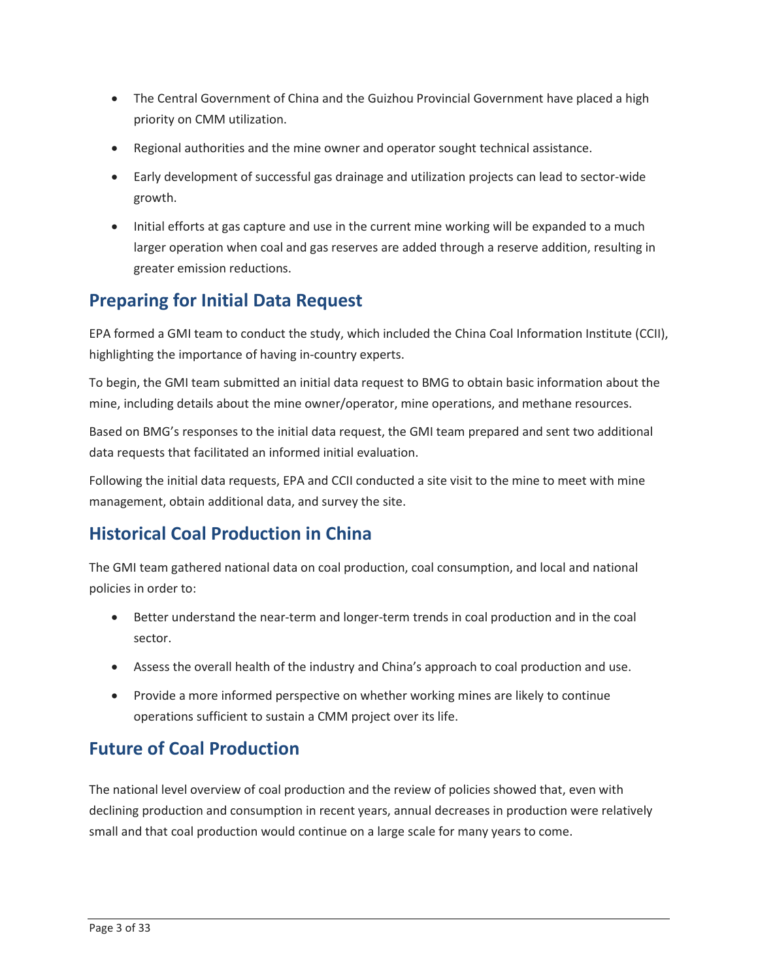- priority on CMM utilization. • The Central Government of China and the Guizhou Provincial Government have placed a high
- Regional authorities and the mine owner and operator sought technical assistance.
- growth. • Early development of successful gas drainage and utilization projects can lead to sector-wide
- • Initial efforts at gas capture and use in the current mine working will be expanded to a much larger operation when coal and gas reserves are added through a reserve addition, resulting in greater emission reductions.

### **Preparing for Initial Data Request**

 EPA formed a GMI team to conduct the study, which included the China Coal Information Institute (CCII), highlighting the importance of having in-country experts.

 To begin, the GMI team submitted an initial data request to BMG to obtain basic information about the mine, including details about the mine owner/operator, mine operations, and methane resources.

 Based on BMG's responses to the initial data request, the GMI team prepared and sent two additional data requests that facilitated an informed initial evaluation.

 Following the initial data requests, EPA and CCII conducted a site visit to the mine to meet with mine management, obtain additional data, and survey the site.

### **Historical Coal Production in China**

The GMI team gathered national data on coal production, coal consumption, and local and national policies in order to:

- Better understand the near-term and longer-term trends in coal production and in the coal sector.
- Assess the overall health of the industry and China's approach to coal production and use.
- operations sufficient to sustain a CMM project over its life. • Provide a more informed perspective on whether working mines are likely to continue

### **Future of Coal Production**

 The national level overview of coal production and the review of policies showed that, even with small and that coal production would continue on a large scale for many years to come. declining production and consumption in recent years, annual decreases in production were relatively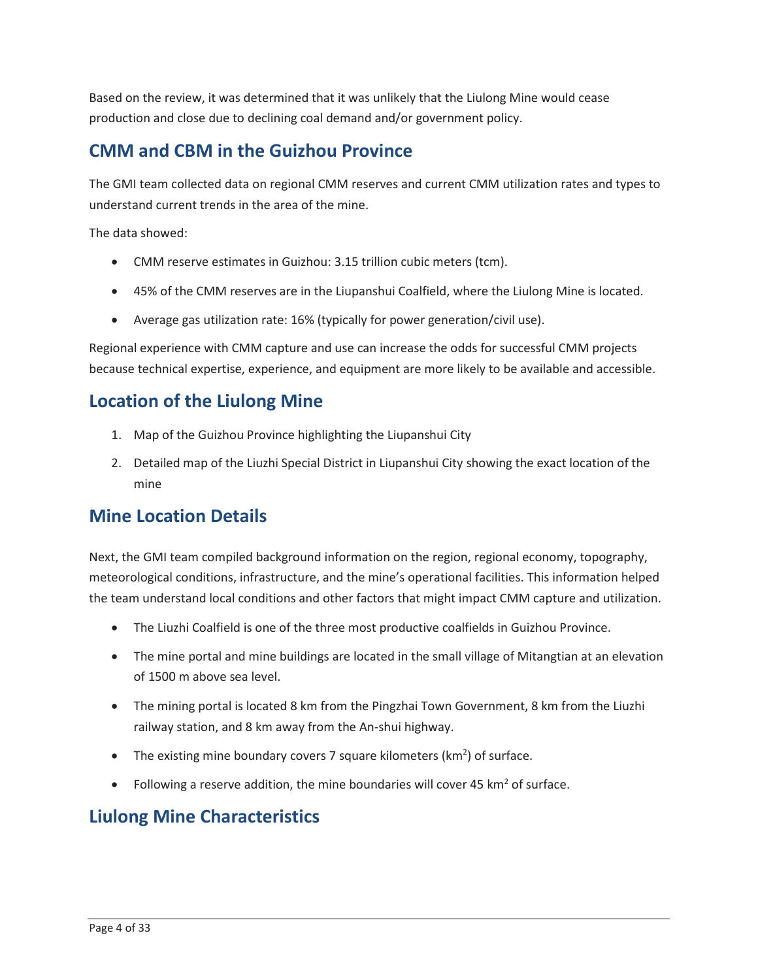Based on the review, it was determined that it was unlikely that the Liulong Mine would cease production and close due to declining coal demand and/or government policy.

### **CMM and CBM in the Guizhou Province**

 The GMI team collected data on regional CMM reserves and current CMM utilization rates and types to understand current trends in the area of the mine.

The data showed:

- CMM reserve estimates in Guizhou: 3.15 trillion cubic meters (tcm).
- 45% of the CMM reserves are in the Liupanshui Coalfield, where the Liulong Mine is located.
- Average gas utilization rate: 16% (typically for power generation/civil use).

 Regional experience with CMM capture and use can increase the odds for successful CMM projects because technical expertise, experience, and equipment are more likely to be available and accessible.

### **Location of the Liulong Mine**

- 1. Map of the Guizhou Province highlighting the Liupanshui City
- 2. Detailed map of the Liuzhi Special District in Liupanshui City showing the exact location of the mine

### **Mine Location Details**

 meteorological conditions, infrastructure, and the mine's operational facilities. This information helped Next, the GMI team compiled background information on the region, regional economy, topography, the team understand local conditions and other factors that might impact CMM capture and utilization.

- The Liuzhi Coalfield is one of the three most productive coalfields in Guizhou Province.
- • The mine portal and mine buildings are located in the small village of Mitangtian at an elevation of 1500 m above sea level.
- railway station, and 8 km away from the An-shui highway. • The mining portal is located 8 km from the Pingzhai Town Government, 8 km from the Liuzhi
- The existing mine boundary covers 7 square kilometers ( $km<sup>2</sup>$ ) of surface.
- Following a reserve addition, the mine boundaries will cover 45  $km<sup>2</sup>$  of surface.

### **Liulong Mine Characteristics**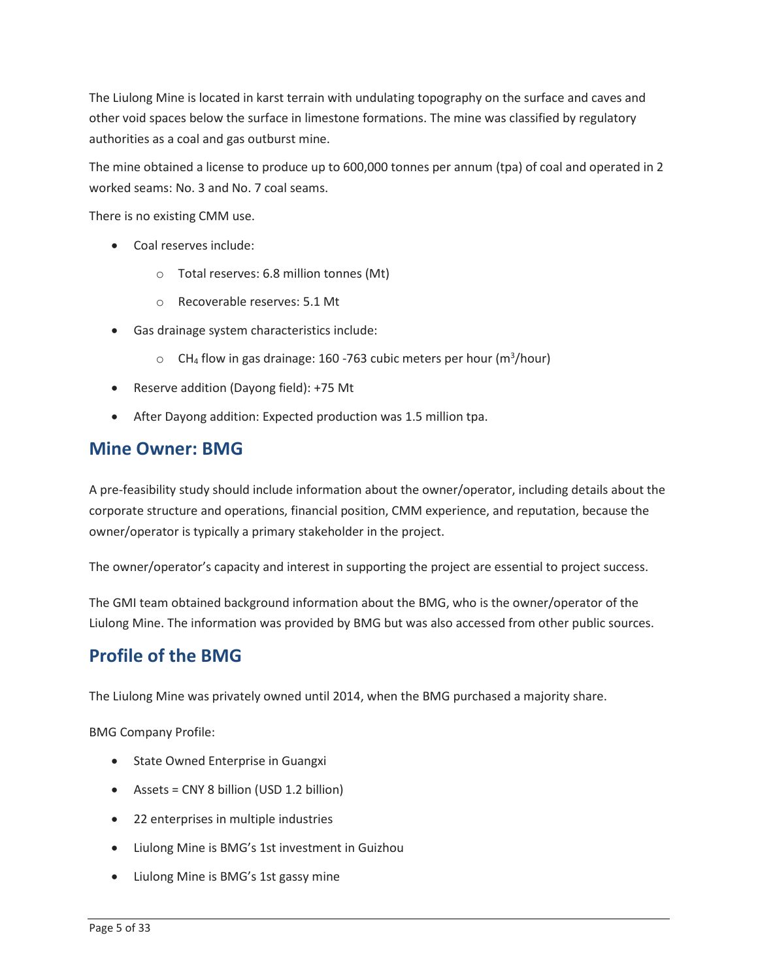other void spaces below the surface in limestone formations. The mine was classified by regulatory The Liulong Mine is located in karst terrain with undulating topography on the surface and caves and authorities as a coal and gas outburst mine.

 The mine obtained a license to produce up to 600,000 tonnes per annum (tpa) of coal and operated in 2 worked seams: No. 3 and No. 7 coal seams.

There is no existing CMM use.

- Coal reserves include:
	- o Total reserves: 6.8 million tonnes (Mt)
	- o Recoverable reserves: 5.1 Mt
- Gas drainage system characteristics include:
	- $\circ$  CH<sub>4</sub> flow in gas drainage: 160 -763 cubic meters per hour (m<sup>3</sup>/hour)
- Reserve addition (Dayong field): +75 Mt
- After Dayong addition: Expected production was 1.5 million tpa.

#### **Mine Owner: BMG**

A pre-feasibility study should include information about the owner/operator, including details about the corporate structure and operations, financial position, CMM experience, and reputation, because the owner/operator is typically a primary stakeholder in the project.

The owner/operator's capacity and interest in supporting the project are essential to project success.

 The GMI team obtained background information about the BMG, who is the owner/operator of the Liulong Mine. The information was provided by BMG but was also accessed from other public sources.

#### **Profile of the BMG**

The Liulong Mine was privately owned until 2014, when the BMG purchased a majority share.

BMG Company Profile:

- State Owned Enterprise in Guangxi
- Assets = CNY 8 billion (USD 1.2 billion)
- 22 enterprises in multiple industries
- Liulong Mine is BMG's 1st investment in Guizhou
- Liulong Mine is BMG's 1st gassy mine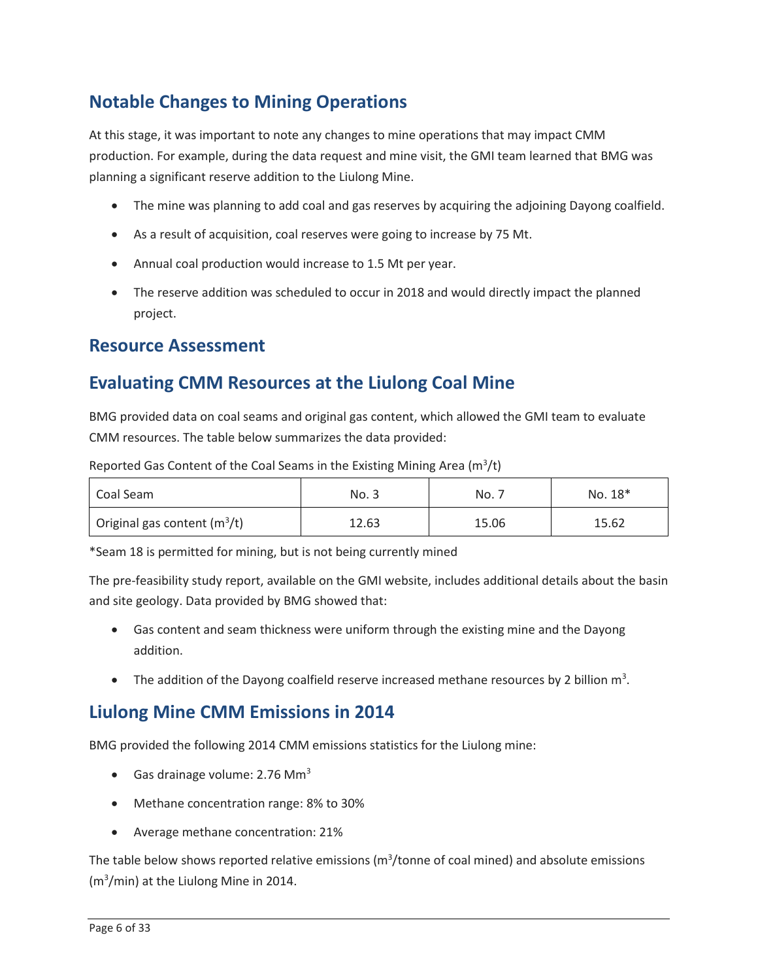## **Notable Changes to Mining Operations**

 At this stage, it was important to note any changes to mine operations that may impact CMM production. For example, during the data request and mine visit, the GMI team learned that BMG was planning a significant reserve addition to the Liulong Mine.

- The mine was planning to add coal and gas reserves by acquiring the adjoining Dayong coalfield.
- As a result of acquisition, coal reserves were going to increase by 75 Mt.
- Annual coal production would increase to 1.5 Mt per year.
- • The reserve addition was scheduled to occur in 2018 and would directly impact the planned project.

#### **Resource Assessment**

### **Evaluating CMM Resources at the Liulong Coal Mine**

 CMM resources. The table below summarizes the data provided: BMG provided data on coal seams and original gas content, which allowed the GMI team to evaluate

Reported Gas Content of the Coal Seams in the Existing Mining Area ( $m^3/t$ )

| Coal Seam                      | No. 3 | No.   | No. 18* |
|--------------------------------|-------|-------|---------|
| Original gas content $(m^3/t)$ | 12.63 | 15.06 | 15.62   |

\*Seam 18 is permitted for mining, but is not being currently mined

 The pre-feasibility study report, available on the GMI website, includes additional details about the basin and site geology. Data provided by BMG showed that:

- Gas content and seam thickness were uniform through the existing mine and the Dayong addition.
- The addition of the Dayong coalfield reserve increased methane resources by 2 billion  $m^3$ .

### **Liulong Mine CMM Emissions in 2014**

BMG provided the following 2014 CMM emissions statistics for the Liulong mine:

- Gas drainage volume: 2.76 Mm<sup>3</sup>
- Methane concentration range: 8% to 30%
- Average methane concentration: 21%

The table below shows reported relative emissions ( $m^3$ /tonne of coal mined) and absolute emissions (m3 /min) at the Liulong Mine in 2014.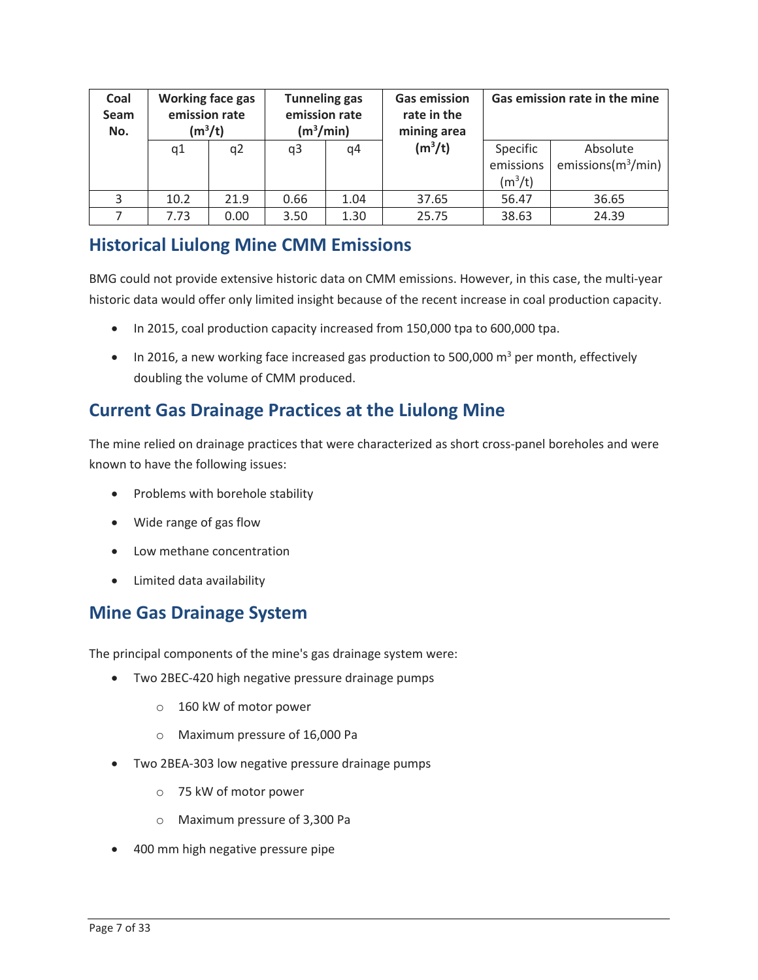| Coal<br>Seam<br>No. | Working face gas<br>emission rate<br>$(m^3/t)$ |                | <b>Tunneling gas</b><br>emission rate<br>(m <sup>3</sup> /min) |      | <b>Gas emission</b><br>rate in the<br>mining area |                                    | Gas emission rate in the mine     |
|---------------------|------------------------------------------------|----------------|----------------------------------------------------------------|------|---------------------------------------------------|------------------------------------|-----------------------------------|
|                     | q1                                             | q <sub>2</sub> | q3                                                             | q4   | $(m^3/t)$                                         | Specific<br>emissions<br>$(m^3/t)$ | Absolute<br>emissions $(m^3/min)$ |
| 3                   | 10.2                                           | 21.9           | 0.66                                                           | 1.04 | 37.65                                             | 56.47                              | 36.65                             |
|                     | 7.73                                           | 0.00           | 3.50                                                           | 1.30 | 25.75                                             | 38.63                              | 24.39                             |

#### **Historical Liulong Mine CMM Emissions**

 BMG could not provide extensive historic data on CMM emissions. However, in this case, the multi-year historic data would offer only limited insight because of the recent increase in coal production capacity.

- In 2015, coal production capacity increased from 150,000 tpa to 600,000 tpa.
- In 2016, a new working face increased gas production to 500,000  $m^3$  per month, effectively doubling the volume of CMM produced.

### **Current Gas Drainage Practices at the Liulong Mine**

 The mine relied on drainage practices that were characterized as short cross-panel boreholes and were known to have the following issues:

- Problems with borehole stability
- Wide range of gas flow
- Low methane concentration
- Limited data availability

### **Mine Gas Drainage System**

The principal components of the mine's gas drainage system were:

- Two 2BEC-420 high negative pressure drainage pumps
	- o 160 kW of motor power
	- o Maximum pressure of 16,000 Pa
- Two 2BEA-303 low negative pressure drainage pumps
	- o 75 kW of motor power
	- o Maximum pressure of 3,300 Pa
- 400 mm high negative pressure pipe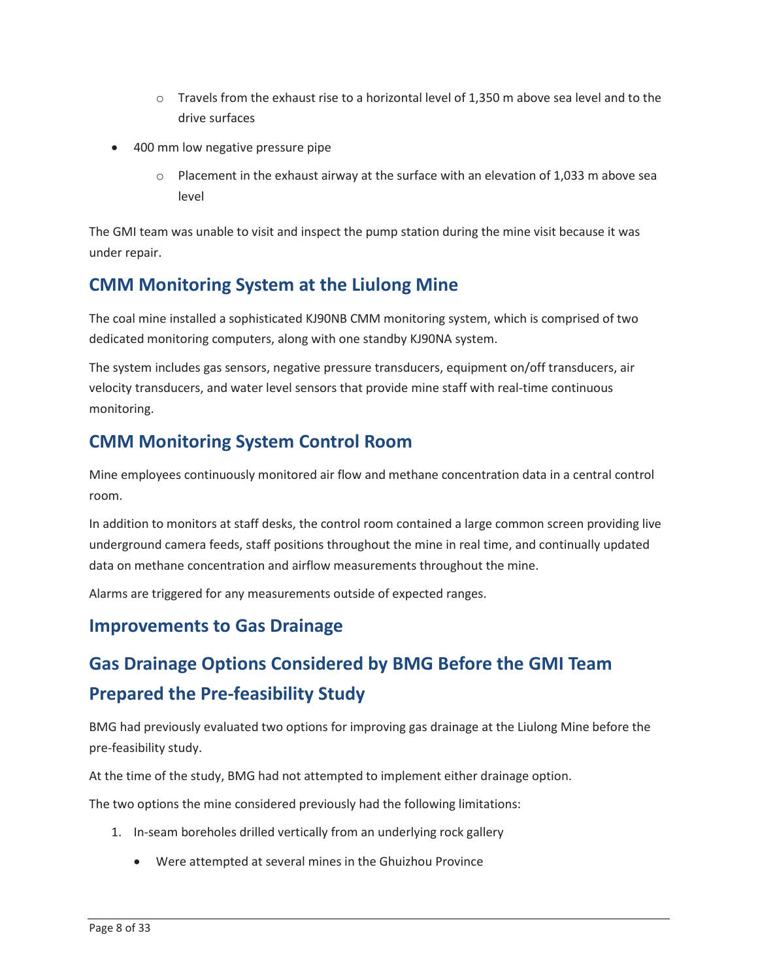- $\circ$  Travels from the exhaust rise to a horizontal level of 1,350 m above sea level and to the drive surfaces
- 400 mm low negative pressure pipe
	- $\circ$  Placement in the exhaust airway at the surface with an elevation of 1,033 m above sea level

 The GMI team was unable to visit and inspect the pump station during the mine visit because it was under repair.

### **CMM Monitoring System at the Liulong Mine**

The coal mine installed a sophisticated KJ90NB CMM monitoring system, which is comprised of two dedicated monitoring computers, along with one standby KJ90NA system.

The system includes gas sensors, negative pressure transducers, equipment on/off transducers, air velocity transducers, and water level sensors that provide mine staff with real-time continuous monitoring.

### **CMM Monitoring System Control Room**

room. Mine employees continuously monitored air flow and methane concentration data in a central control

room.<br>In addition to monitors at staff desks, the control room contained a large common screen providing live data on methane concentration and airflow measurements throughout the mine. underground camera feeds, staff positions throughout the mine in real time, and continually updated

Alarms are triggered for any measurements outside of expected ranges.

### **Improvements to Gas Drainage**

## **Gas Drainage Options Considered by BMG Before the GMI Team Prepared the Pre-feasibility Study**

 BMG had previously evaluated two options for improving gas drainage at the Liulong Mine before the pre-feasibility study.

At the time of the study, BMG had not attempted to implement either drainage option.

The two options the mine considered previously had the following limitations:

- 1. In-seam boreholes drilled vertically from an underlying rock gallery
	- Were attempted at several mines in the Ghuizhou Province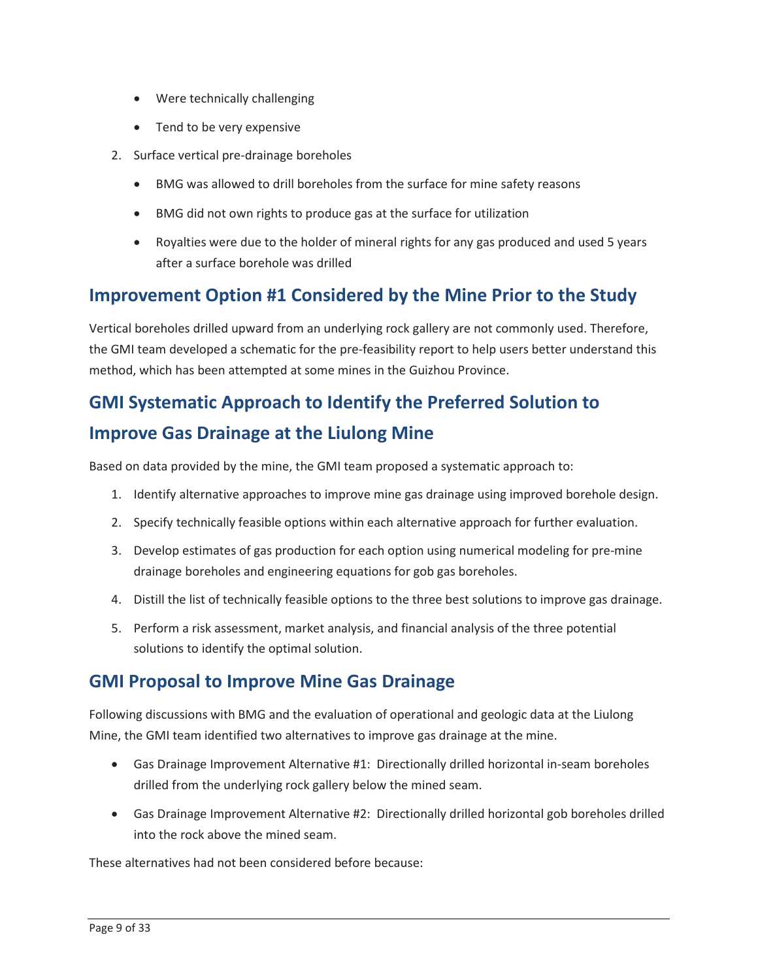- Were technically challenging
- Tend to be very expensive
- 2. Surface vertical pre-drainage boreholes
	- BMG was allowed to drill boreholes from the surface for mine safety reasons
	- BMG did not own rights to produce gas at the surface for utilization
	- • Royalties were due to the holder of mineral rights for any gas produced and used 5 years after a surface borehole was drilled

### **Improvement Option #1 Considered by the Mine Prior to the Study**

 method, which has been attempted at some mines in the Guizhou Province. Vertical boreholes drilled upward from an underlying rock gallery are not commonly used. Therefore, the GMI team developed a schematic for the pre-feasibility report to help users better understand this

## **GMI Systematic Approach to Identify the Preferred Solution to Improve Gas Drainage at the Liulong Mine**

Based on data provided by the mine, the GMI team proposed a systematic approach to:

- 1. Identify alternative approaches to improve mine gas drainage using improved borehole design.
- 2. Specify technically feasible options within each alternative approach for further evaluation.
- 3. Develop estimates of gas production for each option using numerical modeling for pre-mine drainage boreholes and engineering equations for gob gas boreholes.
- 4. Distill the list of technically feasible options to the three best solutions to improve gas drainage.
- 5. Perform a risk assessment, market analysis, and financial analysis of the three potential solutions to identify the optimal solution.

### **GMI Proposal to Improve Mine Gas Drainage**

 Following discussions with BMG and the evaluation of operational and geologic data at the Liulong Mine, the GMI team identified two alternatives to improve gas drainage at the mine.

- • Gas Drainage Improvement Alternative #1: Directionally drilled horizontal in-seam boreholes drilled from the underlying rock gallery below the mined seam.
- • Gas Drainage Improvement Alternative #2: Directionally drilled horizontal gob boreholes drilled into the rock above the mined seam.

These alternatives had not been considered before because: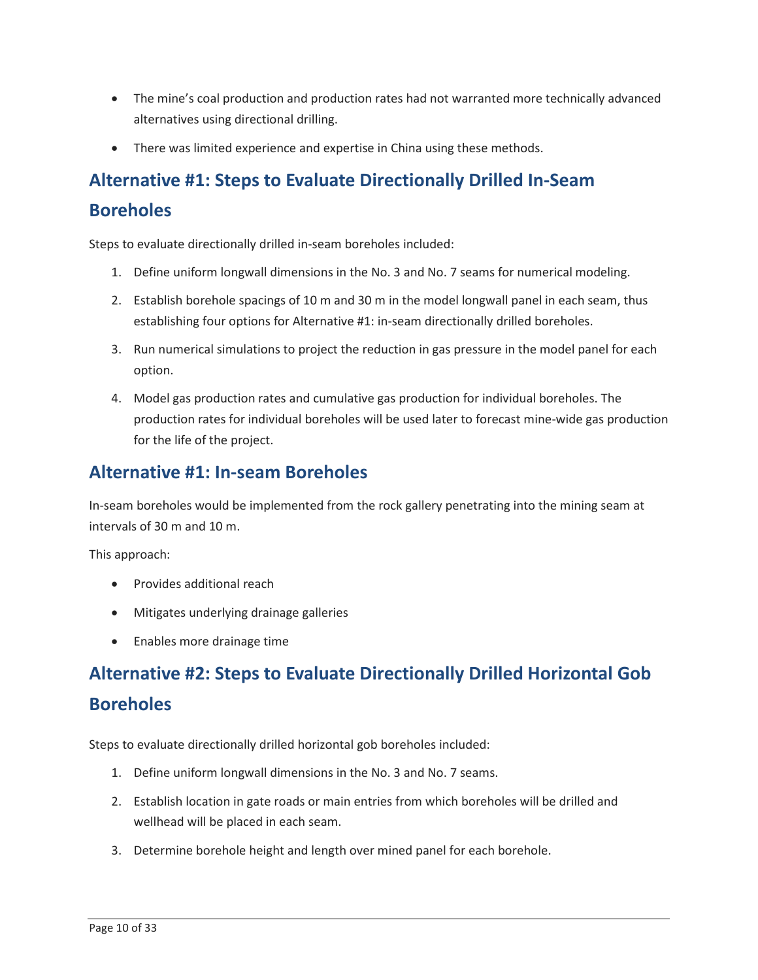- • The mine's coal production and production rates had not warranted more technically advanced alternatives using directional drilling.
- There was limited experience and expertise in China using these methods.

## **Alternative #1: Steps to Evaluate Directionally Drilled In-Seam Boreholes**

Steps to evaluate directionally drilled in-seam boreholes included:

- 1. Define uniform longwall dimensions in the No. 3 and No. 7 seams for numerical modeling.
- 2. Establish borehole spacings of 10 m and 30 m in the model longwall panel in each seam, thus establishing four options for Alternative #1: in-seam directionally drilled boreholes.
- 3. Run numerical simulations to project the reduction in gas pressure in the model panel for each option.
- production rates for individual boreholes will be used later to forecast mine-wide gas production for the life of the project. 4. Model gas production rates and cumulative gas production for individual boreholes. The

#### **Alternative #1: In-seam Boreholes**

 In-seam boreholes would be implemented from the rock gallery penetrating into the mining seam at intervals of 30 m and 10 m.

This approach:

- Provides additional reach
- Mitigates underlying drainage galleries
- Enables more drainage time

## **Alternative #2: Steps to Evaluate Directionally Drilled Horizontal Gob Boreholes**

Steps to evaluate directionally drilled horizontal gob boreholes included:

- 1. Define uniform longwall dimensions in the No. 3 and No. 7 seams.
- 2. Establish location in gate roads or main entries from which boreholes will be drilled and wellhead will be placed in each seam.
- 3. Determine borehole height and length over mined panel for each borehole.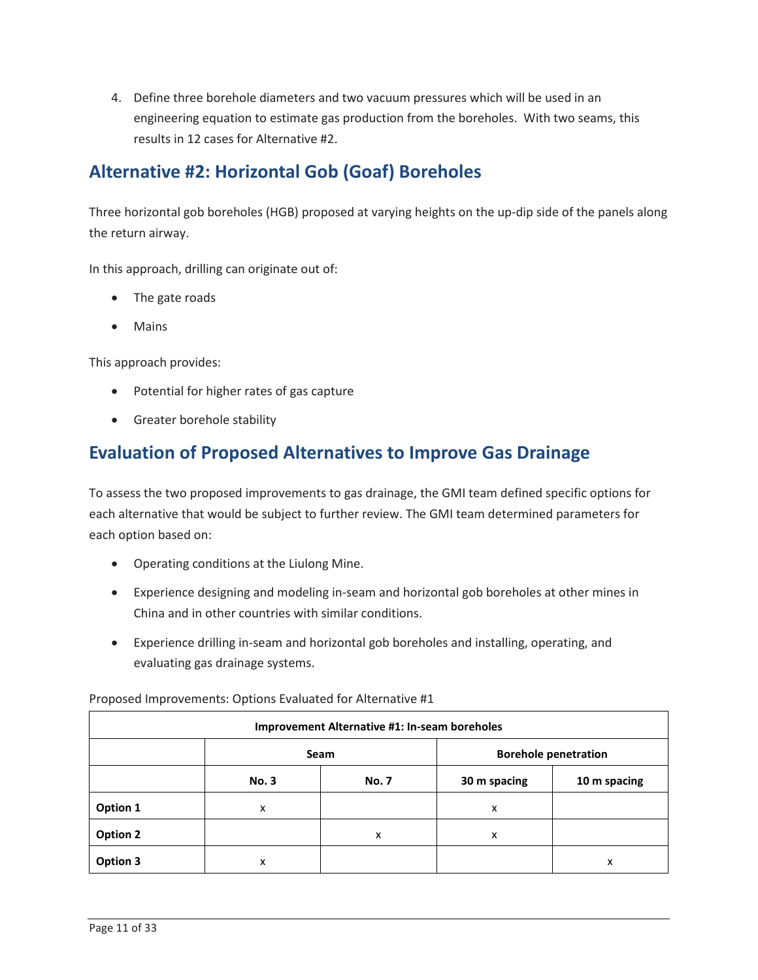4. Define three borehole diameters and two vacuum pressures which will be used in an engineering equation to estimate gas production from the boreholes. With two seams, this results in 12 cases for Alternative #2.

### **Alternative #2: Horizontal Gob (Goaf) Boreholes**

Three horizontal gob boreholes (HGB) proposed at varying heights on the up-dip side of the panels along the return airway.

In this approach, drilling can originate out of:

- The gate roads
- Mains

This approach provides:

- Potential for higher rates of gas capture
- Greater borehole stability

#### **Evaluation of Proposed Alternatives to Improve Gas Drainage**

 To assess the two proposed improvements to gas drainage, the GMI team defined specific options for each alternative that would be subject to further review. The GMI team determined parameters for each option based on:

- Operating conditions at the Liulong Mine.
- Experience designing and modeling in-seam and horizontal gob boreholes at other mines in China and in other countries with similar conditions.
- evaluating gas drainage systems. • Experience drilling in-seam and horizontal gob boreholes and installing, operating, and

| <b>Improvement Alternative #1: In-seam boreholes</b> |              |              |                             |              |
|------------------------------------------------------|--------------|--------------|-----------------------------|--------------|
|                                                      |              | Seam         | <b>Borehole penetration</b> |              |
|                                                      | <b>No. 3</b> | <b>No. 7</b> | 30 m spacing                | 10 m spacing |
| Option 1                                             | x            |              | x                           |              |
| <b>Option 2</b>                                      |              | x            | x                           |              |
| Option 3                                             | x            |              |                             | x            |

Proposed Improvements: Options Evaluated for Alternative #1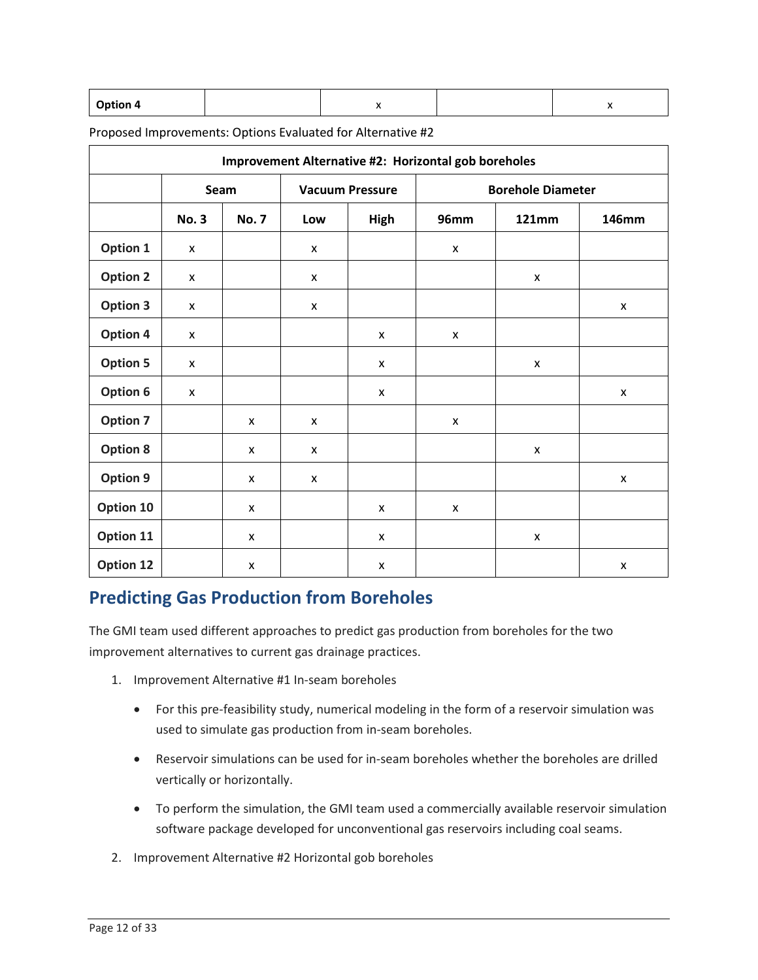| <b>Option 4</b> |  |  |
|-----------------|--|--|
|                 |  |  |

Proposed Improvements: Options Evaluated for Alternative #2

| Improvement Alternative #2: Horizontal gob boreholes |                    |                    |                           |                        |                    |                          |                |
|------------------------------------------------------|--------------------|--------------------|---------------------------|------------------------|--------------------|--------------------------|----------------|
|                                                      |                    | Seam               |                           | <b>Vacuum Pressure</b> |                    | <b>Borehole Diameter</b> |                |
|                                                      | <b>No. 3</b>       | <b>No. 7</b>       | Low                       | High                   | <b>96mm</b>        | <b>121mm</b>             | <b>146mm</b>   |
| Option 1                                             | X                  |                    | X                         |                        | $\mathsf{x}$       |                          |                |
| <b>Option 2</b>                                      | X                  |                    | X                         |                        |                    | X                        |                |
| <b>Option 3</b>                                      | X                  |                    | X                         |                        |                    |                          | X              |
| Option 4                                             | $\pmb{\mathsf{X}}$ |                    |                           | X                      | $\mathsf{x}$       |                          |                |
| <b>Option 5</b>                                      | X                  |                    |                           | X                      |                    | X                        |                |
| Option 6                                             | $\pmb{\times}$     |                    |                           | $\pmb{\mathsf{x}}$     |                    |                          | X              |
| <b>Option 7</b>                                      |                    | X                  | $\pmb{\mathsf{x}}$        |                        | $\pmb{\times}$     |                          |                |
| <b>Option 8</b>                                      |                    | X                  | $\boldsymbol{\mathsf{x}}$ |                        |                    | X                        |                |
| Option 9                                             |                    | X                  | $\pmb{\mathsf{x}}$        |                        |                    |                          | X              |
| Option 10                                            |                    | X                  |                           | X                      | $\pmb{\mathsf{X}}$ |                          |                |
| Option 11                                            |                    | X                  |                           | $\pmb{\mathsf{x}}$     |                    | $\pmb{\mathsf{x}}$       |                |
| Option 12                                            |                    | $\pmb{\mathsf{x}}$ |                           | X                      |                    |                          | $\pmb{\times}$ |

### **Predicting Gas Production from Boreholes**

The GMI team used different approaches to predict gas production from boreholes for the two improvement alternatives to current gas drainage practices.

- 1. Improvement Alternative #1 In-seam boreholes
	- • For this pre-feasibility study, numerical modeling in the form of a reservoir simulation was used to simulate gas production from in-seam boreholes.
	- Reservoir simulations can be used for in-seam boreholes whether the boreholes are drilled vertically or horizontally.
	- To perform the simulation, the GMI team used a commercially available reservoir simulation software package developed for unconventional gas reservoirs including coal seams.
- 2. Improvement Alternative #2 Horizontal gob boreholes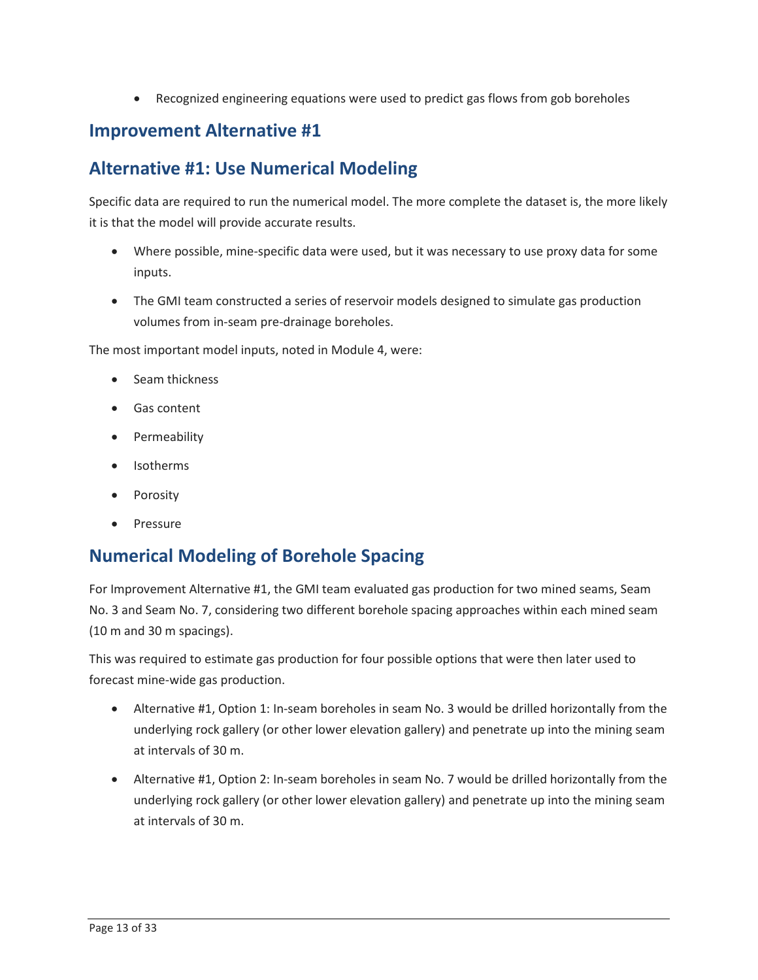• Recognized engineering equations were used to predict gas flows from gob boreholes

#### **Improvement Alternative #1**

### **Alternative #1: Use Numerical Modeling**

Specific data are required to run the numerical model. The more complete the dataset is, the more likely it is that the model will provide accurate results.

- Where possible, mine-specific data were used, but it was necessary to use proxy data for some inputs.
- • The GMI team constructed a series of reservoir models designed to simulate gas production volumes from in-seam pre-drainage boreholes.

The most important model inputs, noted in Module 4, were:

- Seam thickness
- Gas content
- Permeability
- Isotherms
- Porosity
- Pressure

### **Numerical Modeling of Borehole Spacing**

 No. 3 and Seam No. 7, considering two different borehole spacing approaches within each mined seam (10 m and 30 m spacings). For Improvement Alternative #1, the GMI team evaluated gas production for two mined seams, Seam

 This was required to estimate gas production for four possible options that were then later used to forecast mine-wide gas production.

- Alternative #1, Option 1: In-seam boreholes in seam No. 3 would be drilled horizontally from the underlying rock gallery (or other lower elevation gallery) and penetrate up into the mining seam at intervals of 30 m.
- • Alternative #1, Option 2: In-seam boreholes in seam No. 7 would be drilled horizontally from the underlying rock gallery (or other lower elevation gallery) and penetrate up into the mining seam at intervals of 30 m.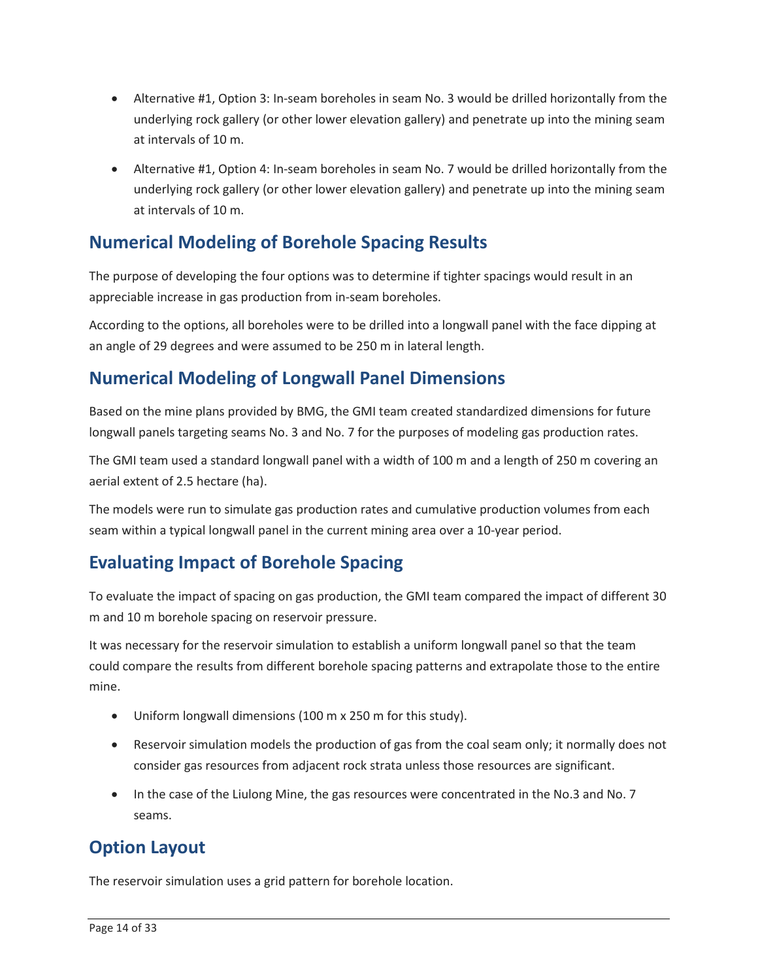- • Alternative #1, Option 3: In-seam boreholes in seam No. 3 would be drilled horizontally from the underlying rock gallery (or other lower elevation gallery) and penetrate up into the mining seam at intervals of 10 m.
- • Alternative #1, Option 4: In-seam boreholes in seam No. 7 would be drilled horizontally from the underlying rock gallery (or other lower elevation gallery) and penetrate up into the mining seam at intervals of 10 m.

### **Numerical Modeling of Borehole Spacing Results**

 The purpose of developing the four options was to determine if tighter spacings would result in an appreciable increase in gas production from in-seam boreholes.

 an angle of 29 degrees and were assumed to be 250 m in lateral length. According to the options, all boreholes were to be drilled into a longwall panel with the face dipping at

### **Numerical Modeling of Longwall Panel Dimensions**

 Based on the mine plans provided by BMG, the GMI team created standardized dimensions for future longwall panels targeting seams No. 3 and No. 7 for the purposes of modeling gas production rates.

 The GMI team used a standard longwall panel with a width of 100 m and a length of 250 m covering an aerial extent of 2.5 hectare (ha).

 The models were run to simulate gas production rates and cumulative production volumes from each seam within a typical longwall panel in the current mining area over a 10-year period.

### **Evaluating Impact of Borehole Spacing**

 To evaluate the impact of spacing on gas production, the GMI team compared the impact of different 30 m and 10 m borehole spacing on reservoir pressure.

It was necessary for the reservoir simulation to establish a uniform longwall panel so that the team could compare the results from different borehole spacing patterns and extrapolate those to the entire mine.

- Uniform longwall dimensions (100 m x 250 m for this study).
- Reservoir simulation models the production of gas from the coal seam only; it normally does not consider gas resources from adjacent rock strata unless those resources are significant.
- • In the case of the Liulong Mine, the gas resources were concentrated in the No.3 and No. 7 seams.

### **Option Layout**

The reservoir simulation uses a grid pattern for borehole location.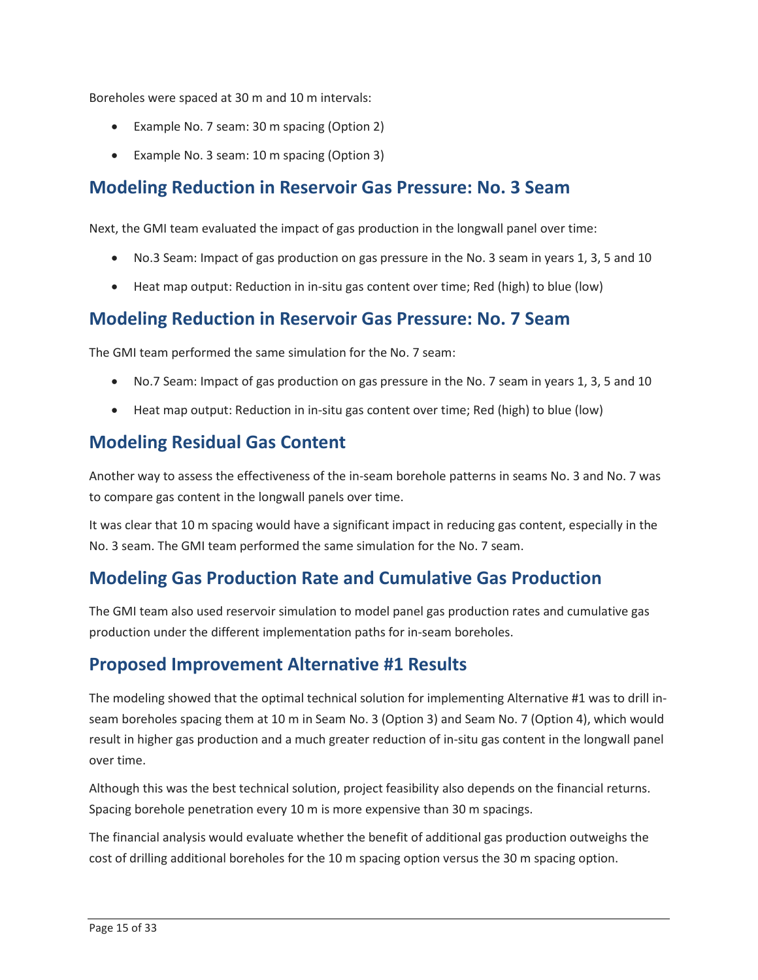Boreholes were spaced at 30 m and 10 m intervals:

- Example No. 7 seam: 30 m spacing (Option 2)
- Example No. 3 seam: 10 m spacing (Option 3)

### **Modeling Reduction in Reservoir Gas Pressure: No. 3 Seam**

Next, the GMI team evaluated the impact of gas production in the longwall panel over time:

- No.3 Seam: Impact of gas production on gas pressure in the No. 3 seam in years 1, 3, 5 and 10
- Heat map output: Reduction in in-situ gas content over time; Red (high) to blue (low)

### **Modeling Reduction in Reservoir Gas Pressure: No. 7 Seam**

The GMI team performed the same simulation for the No. 7 seam:

- No.7 Seam: Impact of gas production on gas pressure in the No. 7 seam in years 1, 3, 5 and 10
- Heat map output: Reduction in in-situ gas content over time; Red (high) to blue (low)

### **Modeling Residual Gas Content**

 Another way to assess the effectiveness of the in-seam borehole patterns in seams No. 3 and No. 7 was to compare gas content in the longwall panels over time.

 It was clear that 10 m spacing would have a significant impact in reducing gas content, especially in the No. 3 seam. The GMI team performed the same simulation for the No. 7 seam.

### **Modeling Gas Production Rate and Cumulative Gas Production**

The GMI team also used reservoir simulation to model panel gas production rates and cumulative gas production under the different implementation paths for in-seam boreholes.

### **Proposed Improvement Alternative #1 Results**

 seam boreholes spacing them at 10 m in Seam No. 3 (Option 3) and Seam No. 7 (Option 4), which would The modeling showed that the optimal technical solution for implementing Alternative #1 was to drill inresult in higher gas production and a much greater reduction of in-situ gas content in the longwall panel over time.

Although this was the best technical solution, project feasibility also depends on the financial returns. Spacing borehole penetration every 10 m is more expensive than 30 m spacings.

The financial analysis would evaluate whether the benefit of additional gas production outweighs the cost of drilling additional boreholes for the 10 m spacing option versus the 30 m spacing option.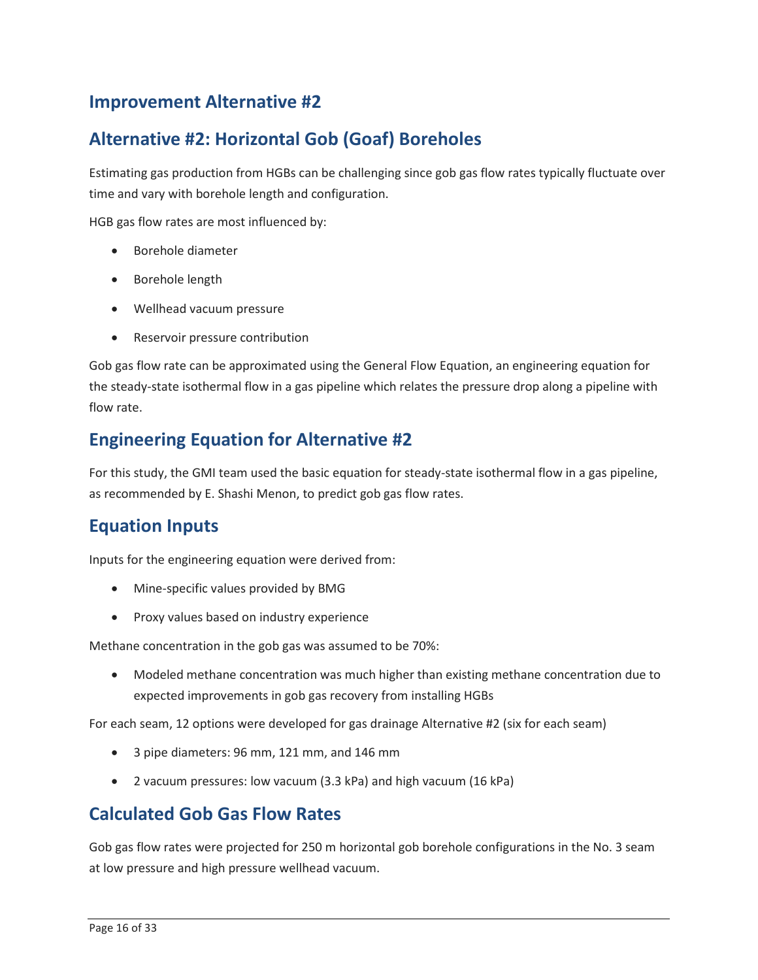#### **Improvement Alternative #2**

### **Alternative #2: Horizontal Gob (Goaf) Boreholes**

 Estimating gas production from HGBs can be challenging since gob gas flow rates typically fluctuate over time and vary with borehole length and configuration.

HGB gas flow rates are most influenced by:

- Borehole diameter
- Borehole length
- Wellhead vacuum pressure
- Reservoir pressure contribution

Gob gas flow rate can be approximated using the General Flow Equation, an engineering equation for the steady-state isothermal flow in a gas pipeline which relates the pressure drop along a pipeline with flow rate.

#### **Engineering Equation for Alternative #2**

 For this study, the GMI team used the basic equation for steady-state isothermal flow in a gas pipeline, as recommended by E. Shashi Menon, to predict gob gas flow rates.

### **Equation Inputs**

Inputs for the engineering equation were derived from:

- Mine-specific values provided by BMG
- Proxy values based on industry experience

Methane concentration in the gob gas was assumed to be 70%:

 • Modeled methane concentration was much higher than existing methane concentration due to expected improvements in gob gas recovery from installing HGBs

For each seam, 12 options were developed for gas drainage Alternative #2 (six for each seam)

- 3 pipe diameters: 96 mm, 121 mm, and 146 mm
- 2 vacuum pressures: low vacuum (3.3 kPa) and high vacuum (16 kPa)

#### **Calculated Gob Gas Flow Rates**

 Gob gas flow rates were projected for 250 m horizontal gob borehole configurations in the No. 3 seam at low pressure and high pressure wellhead vacuum.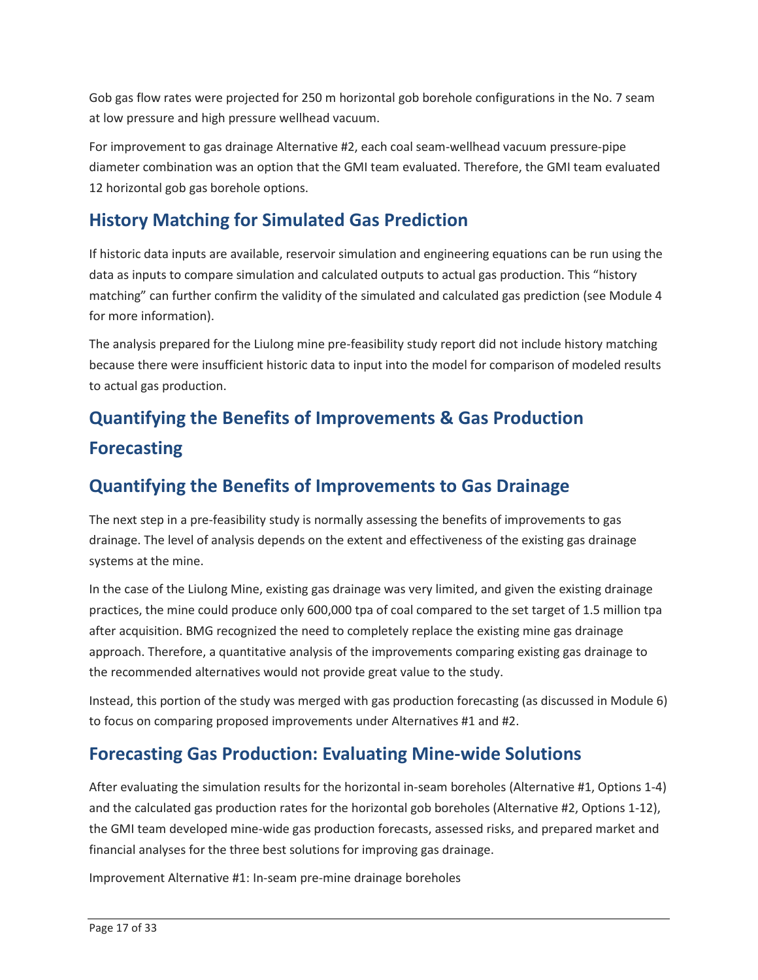Gob gas flow rates were projected for 250 m horizontal gob borehole configurations in the No. 7 seam at low pressure and high pressure wellhead vacuum.

 diameter combination was an option that the GMI team evaluated. Therefore, the GMI team evaluated For improvement to gas drainage Alternative #2, each coal seam-wellhead vacuum pressure-pipe 12 horizontal gob gas borehole options.

### **History Matching for Simulated Gas Prediction**

 data as inputs to compare simulation and calculated outputs to actual gas production. This "history matching" can further confirm the validity of the simulated and calculated gas prediction (see Module 4 If historic data inputs are available, reservoir simulation and engineering equations can be run using the for more information).

 because there were insufficient historic data to input into the model for comparison of modeled results The analysis prepared for the Liulong mine pre-feasibility study report did not include history matching to actual gas production.

## **Quantifying the Benefits of Improvements & Gas Production Forecasting**

### **Quantifying the Benefits of Improvements to Gas Drainage**

The next step in a pre-feasibility study is normally assessing the benefits of improvements to gas drainage. The level of analysis depends on the extent and effectiveness of the existing gas drainage systems at the mine.

 In the case of the Liulong Mine, existing gas drainage was very limited, and given the existing drainage practices, the mine could produce only 600,000 tpa of coal compared to the set target of 1.5 million tpa the recommended alternatives would not provide great value to the study. after acquisition. BMG recognized the need to completely replace the existing mine gas drainage approach. Therefore, a quantitative analysis of the improvements comparing existing gas drainage to

the recommended alternatives would not provide great value to the study.<br>Instead, this portion of the study was merged with gas production forecasting (as discussed in Module 6) to focus on comparing proposed improvements under Alternatives #1 and #2.

### **Forecasting Gas Production: Evaluating Mine-wide Solutions**

 the GMI team developed mine-wide gas production forecasts, assessed risks, and prepared market and After evaluating the simulation results for the horizontal in-seam boreholes (Alternative #1, Options 1-4) and the calculated gas production rates for the horizontal gob boreholes (Alternative #2, Options 1-12), financial analyses for the three best solutions for improving gas drainage.

Improvement Alternative #1: In-seam pre-mine drainage boreholes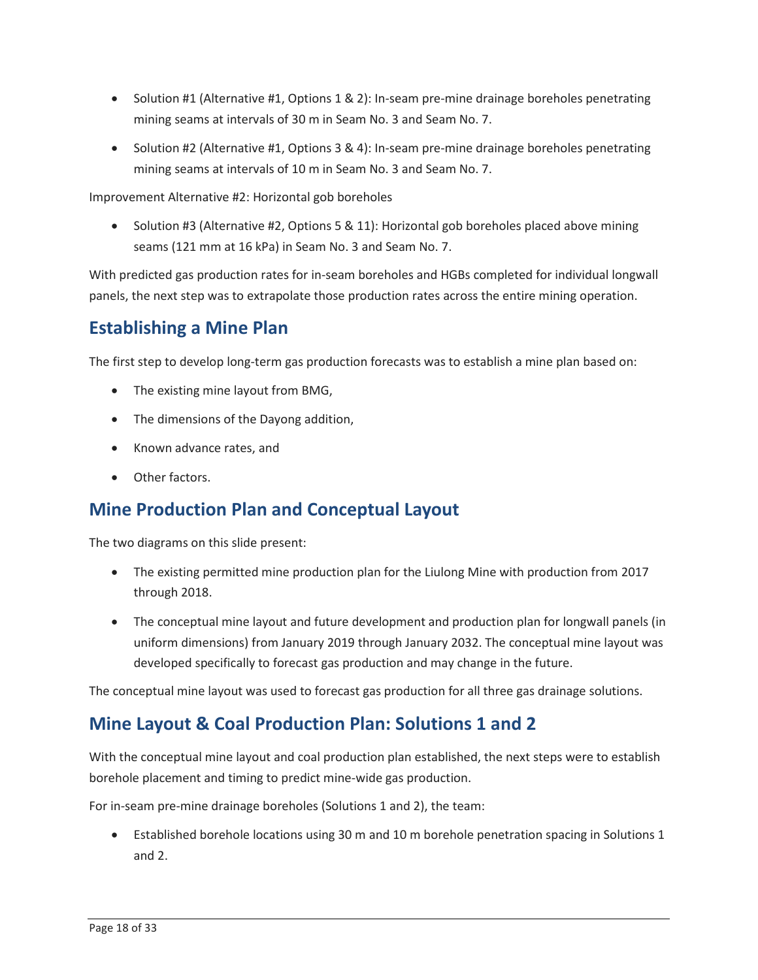- • Solution #1 (Alternative #1, Options 1 & 2): In-seam pre-mine drainage boreholes penetrating mining seams at intervals of 30 m in Seam No. 3 and Seam No. 7.
- • Solution #2 (Alternative #1, Options 3 & 4): In-seam pre-mine drainage boreholes penetrating mining seams at intervals of 10 m in Seam No. 3 and Seam No. 7.

Improvement Alternative #2: Horizontal gob boreholes

 • Solution #3 (Alternative #2, Options 5 & 11): Horizontal gob boreholes placed above mining seams (121 mm at 16 kPa) in Seam No. 3 and Seam No. 7.

 panels, the next step was to extrapolate those production rates across the entire mining operation. With predicted gas production rates for in-seam boreholes and HGBs completed for individual longwall

### **Establishing a Mine Plan**

The first step to develop long-term gas production forecasts was to establish a mine plan based on:

- The existing mine layout from BMG,
- The dimensions of the Dayong addition,
- Known advance rates, and
- Other factors.

### **Mine Production Plan and Conceptual Layout**

The two diagrams on this slide present:

- The existing permitted mine production plan for the Liulong Mine with production from 2017 through 2018.
- The conceptual mine layout and future development and production plan for longwall panels (in uniform dimensions) from January 2019 through January 2032. The conceptual mine layout was developed specifically to forecast gas production and may change in the future.

The conceptual mine layout was used to forecast gas production for all three gas drainage solutions.

### **Mine Layout & Coal Production Plan: Solutions 1 and 2**

 With the conceptual mine layout and coal production plan established, the next steps were to establish borehole placement and timing to predict mine-wide gas production.

For in-seam pre-mine drainage boreholes (Solutions 1 and 2), the team:

 • Established borehole locations using 30 m and 10 m borehole penetration spacing in Solutions 1 and 2.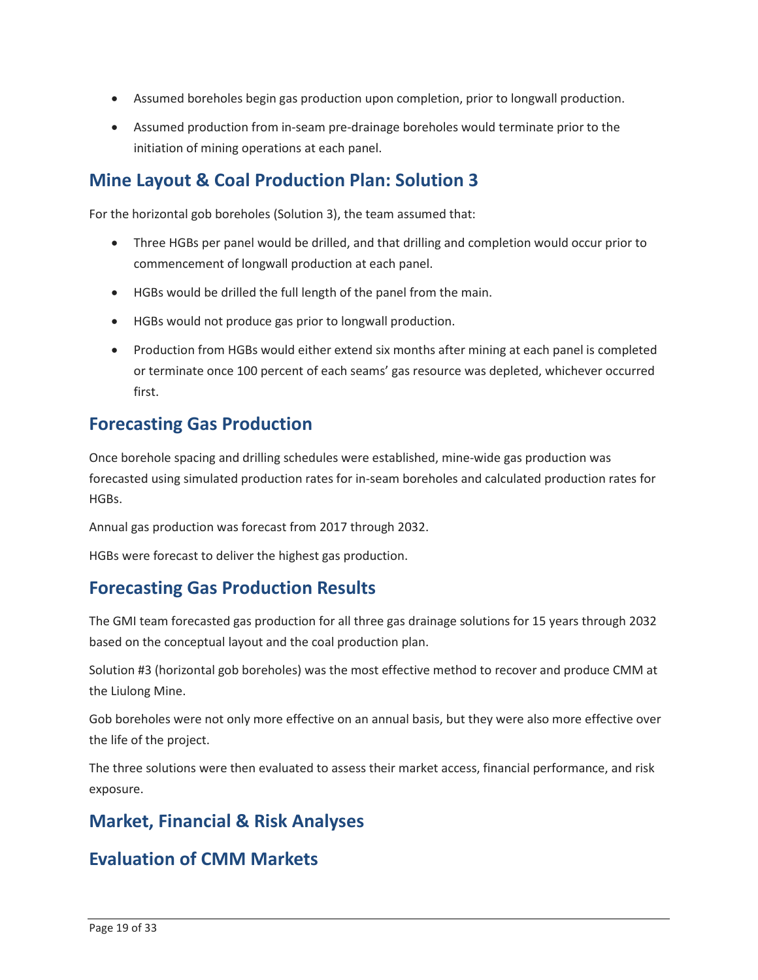- Assumed boreholes begin gas production upon completion, prior to longwall production.
- • Assumed production from in-seam pre-drainage boreholes would terminate prior to the initiation of mining operations at each panel.

### **Mine Layout & Coal Production Plan: Solution 3**

For the horizontal gob boreholes (Solution 3), the team assumed that:

- Three HGBs per panel would be drilled, and that drilling and completion would occur prior to commencement of longwall production at each panel.
- HGBs would be drilled the full length of the panel from the main.
- HGBs would not produce gas prior to longwall production.
- or terminate once 100 percent of each seams' gas resource was depleted, whichever occurred • Production from HGBs would either extend six months after mining at each panel is completed first.

### **Forecasting Gas Production**

HGBs. Once borehole spacing and drilling schedules were established, mine-wide gas production was forecasted using simulated production rates for in-seam boreholes and calculated production rates for

HGBs.<br>Annual gas production was forecast from 2017 through 2032.<br>HGBs were forecast to deliver the highest gas production.

### **Forecasting Gas Production Results**

 The GMI team forecasted gas production for all three gas drainage solutions for 15 years through 2032 based on the conceptual layout and the coal production plan.

 Solution #3 (horizontal gob boreholes) was the most effective method to recover and produce CMM at the Liulong Mine.

Gob boreholes were not only more effective on an annual basis, but they were also more effective over the life of the project.

The three solutions were then evaluated to assess their market access, financial performance, and risk exposure.

### **Market, Financial & Risk Analyses**

### **Evaluation of CMM Markets**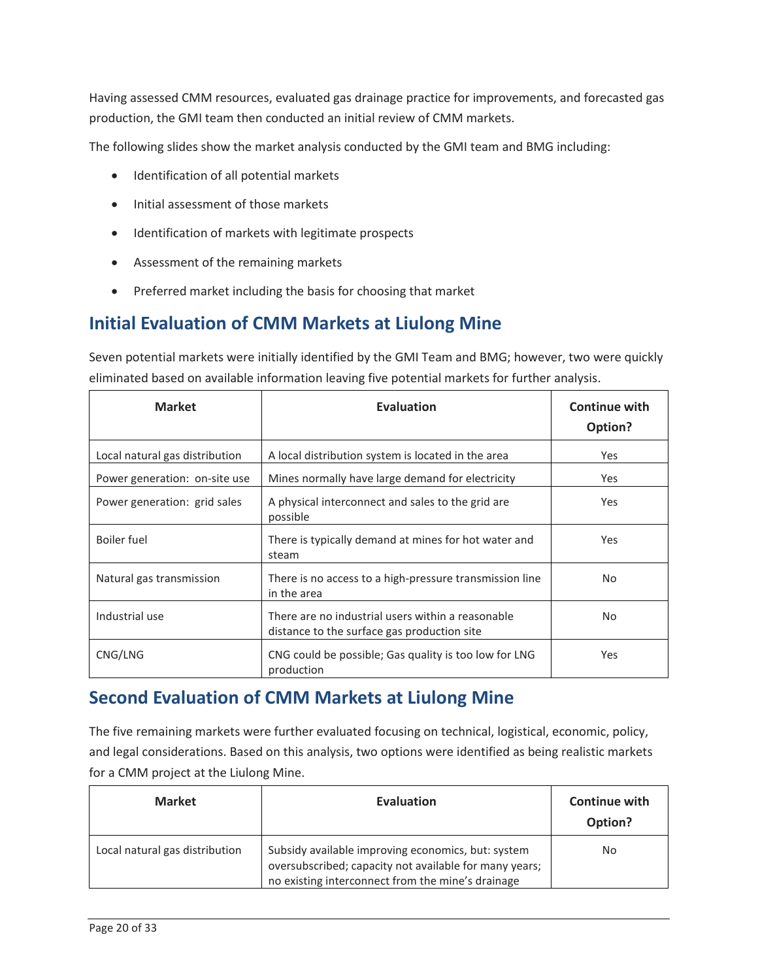production, the GMI team then conducted an initial review of CMM markets. Having assessed CMM resources, evaluated gas drainage practice for improvements, and forecasted gas

The following slides show the market analysis conducted by the GMI team and BMG including:

- Identification of all potential markets
- Initial assessment of those markets
- Identification of markets with legitimate prospects
- Assessment of the remaining markets
- Preferred market including the basis for choosing that market

### **Initial Evaluation of CMM Markets at Liulong Mine**

 Seven potential markets were initially identified by the GMI Team and BMG; however, two were quickly eliminated based on available information leaving five potential markets for further analysis.

| <b>Market</b>                  | <b>Evaluation</b>                                                                                | <b>Continue with</b><br>Option? |
|--------------------------------|--------------------------------------------------------------------------------------------------|---------------------------------|
| Local natural gas distribution | A local distribution system is located in the area                                               | Yes                             |
| Power generation: on-site use  | Mines normally have large demand for electricity                                                 | Yes                             |
| Power generation: grid sales   | A physical interconnect and sales to the grid are<br>possible                                    | Yes                             |
| <b>Boiler</b> fuel             | There is typically demand at mines for hot water and<br>steam                                    | Yes                             |
| Natural gas transmission       | There is no access to a high-pressure transmission line<br>in the area                           | No.                             |
| Industrial use                 | There are no industrial users within a reasonable<br>distance to the surface gas production site | No.                             |
| CNG/LNG                        | CNG could be possible; Gas quality is too low for LNG<br>production                              | <b>Yes</b>                      |

### **Second Evaluation of CMM Markets at Liulong Mine**

 for a CMM project at the Liulong Mine. The five remaining markets were further evaluated focusing on technical, logistical, economic, policy, and legal considerations. Based on this analysis, two options were identified as being realistic markets

| <b>Market</b>                  | <b>Evaluation</b>                                                                                                                                                 | <b>Continue with</b><br>Option? |
|--------------------------------|-------------------------------------------------------------------------------------------------------------------------------------------------------------------|---------------------------------|
| Local natural gas distribution | Subsidy available improving economics, but: system<br>oversubscribed; capacity not available for many years;<br>no existing interconnect from the mine's drainage | No                              |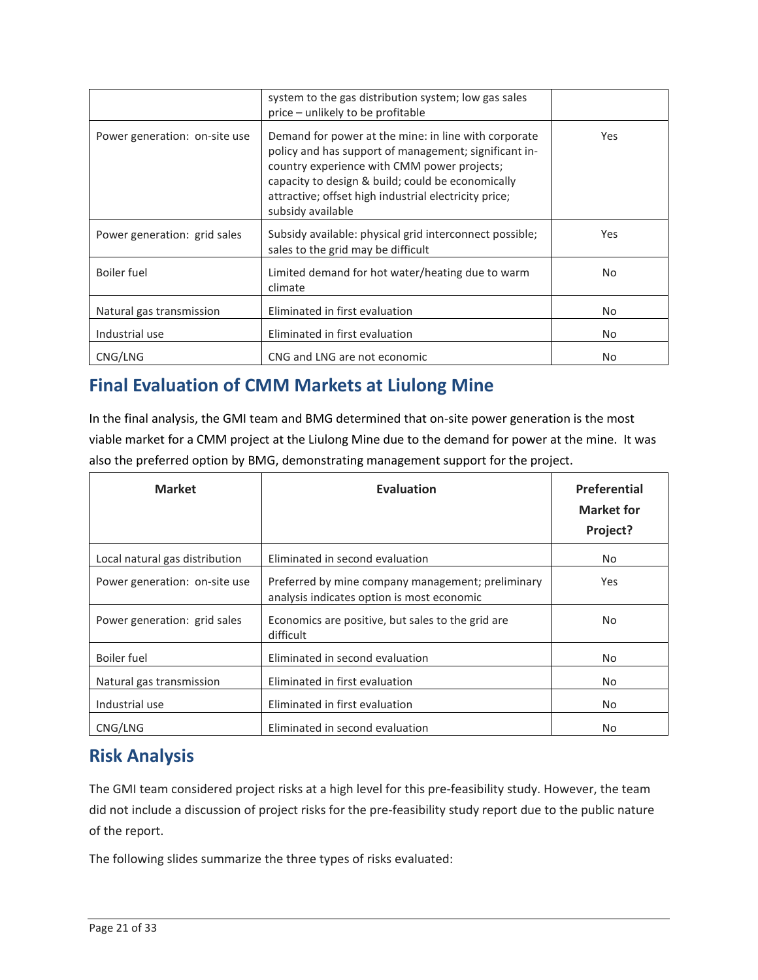|                               | system to the gas distribution system; low gas sales<br>price - unlikely to be profitable                                                                                                                                                                                                       |            |
|-------------------------------|-------------------------------------------------------------------------------------------------------------------------------------------------------------------------------------------------------------------------------------------------------------------------------------------------|------------|
| Power generation: on-site use | Demand for power at the mine: in line with corporate<br>policy and has support of management; significant in-<br>country experience with CMM power projects;<br>capacity to design & build; could be economically<br>attractive; offset high industrial electricity price;<br>subsidy available | Yes.       |
| Power generation: grid sales  | Subsidy available: physical grid interconnect possible;<br>sales to the grid may be difficult                                                                                                                                                                                                   | <b>Yes</b> |
| Boiler fuel                   | Limited demand for hot water/heating due to warm<br>climate                                                                                                                                                                                                                                     | No.        |
| Natural gas transmission      | Eliminated in first evaluation                                                                                                                                                                                                                                                                  | No.        |
| Industrial use                | Eliminated in first evaluation                                                                                                                                                                                                                                                                  | No.        |
| CNG/LNG                       | CNG and LNG are not economic                                                                                                                                                                                                                                                                    | No.        |

### **Final Evaluation of CMM Markets at Liulong Mine**

 viable market for a CMM project at the Liulong Mine due to the demand for power at the mine. It was In the final analysis, the GMI team and BMG determined that on-site power generation is the most also the preferred option by BMG, demonstrating management support for the project.

| <b>Market</b>                  | <b>Evaluation</b>                                                                               | Preferential<br><b>Market for</b><br>Project? |
|--------------------------------|-------------------------------------------------------------------------------------------------|-----------------------------------------------|
| Local natural gas distribution | Eliminated in second evaluation                                                                 | No.                                           |
| Power generation: on-site use  | Preferred by mine company management; preliminary<br>analysis indicates option is most economic | <b>Yes</b>                                    |
| Power generation: grid sales   | Economics are positive, but sales to the grid are<br>difficult                                  | No.                                           |
| Boiler fuel                    | Eliminated in second evaluation                                                                 | No.                                           |
| Natural gas transmission       | Eliminated in first evaluation                                                                  | No.                                           |
| Industrial use                 | Eliminated in first evaluation                                                                  | No.                                           |
| CNG/LNG                        | Eliminated in second evaluation                                                                 | No.                                           |

### **Risk Analysis**

The GMI team considered project risks at a high level for this pre-feasibility study. However, the team did not include a discussion of project risks for the pre-feasibility study report due to the public nature of the report.

The following slides summarize the three types of risks evaluated: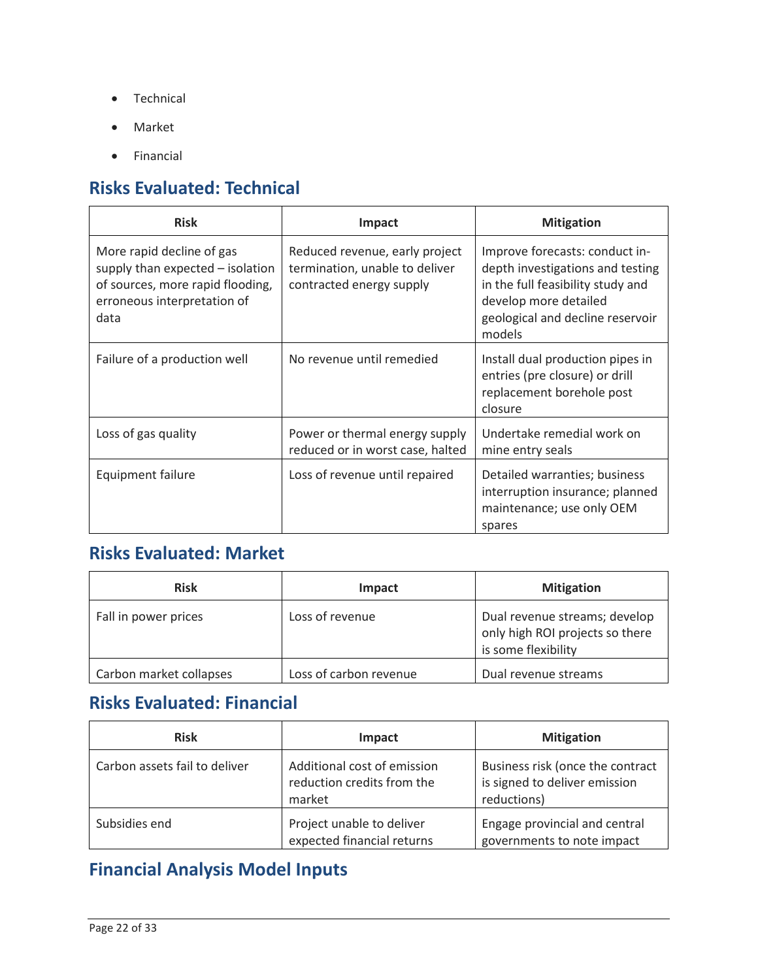- Technical
- Market
- Financial

## **Risks Evaluated: Technical**

| <b>Risk</b>                                                                                                                              | Impact                                                                                       | <b>Mitigation</b>                                                                                                                                                              |
|------------------------------------------------------------------------------------------------------------------------------------------|----------------------------------------------------------------------------------------------|--------------------------------------------------------------------------------------------------------------------------------------------------------------------------------|
| More rapid decline of gas<br>supply than expected - isolation<br>of sources, more rapid flooding,<br>erroneous interpretation of<br>data | Reduced revenue, early project<br>termination, unable to deliver<br>contracted energy supply | Improve forecasts: conduct in-<br>depth investigations and testing<br>in the full feasibility study and<br>develop more detailed<br>geological and decline reservoir<br>models |
| Failure of a production well                                                                                                             | No revenue until remedied                                                                    | Install dual production pipes in<br>entries (pre closure) or drill<br>replacement borehole post<br>closure                                                                     |
| Loss of gas quality                                                                                                                      | Power or thermal energy supply<br>reduced or in worst case, halted                           | Undertake remedial work on<br>mine entry seals                                                                                                                                 |
| <b>Equipment failure</b>                                                                                                                 | Loss of revenue until repaired                                                               | Detailed warranties; business<br>interruption insurance; planned<br>maintenance; use only OEM<br>spares                                                                        |

### **Risks Evaluated: Market**

| <b>Risk</b>             | Impact                 | <b>Mitigation</b>                                                                       |
|-------------------------|------------------------|-----------------------------------------------------------------------------------------|
| Fall in power prices    | Loss of revenue        | Dual revenue streams; develop<br>only high ROI projects so there<br>is some flexibility |
| Carbon market collapses | Loss of carbon revenue | Dual revenue streams                                                                    |

### **Risks Evaluated: Financial**

| <b>Risk</b>                   | Impact                                                              | <b>Mitigation</b>                                                                |
|-------------------------------|---------------------------------------------------------------------|----------------------------------------------------------------------------------|
| Carbon assets fail to deliver | Additional cost of emission<br>reduction credits from the<br>market | Business risk (once the contract<br>is signed to deliver emission<br>reductions) |
| Subsidies end                 | Project unable to deliver<br>expected financial returns             | Engage provincial and central<br>governments to note impact                      |

### **Financial Analysis Model Inputs**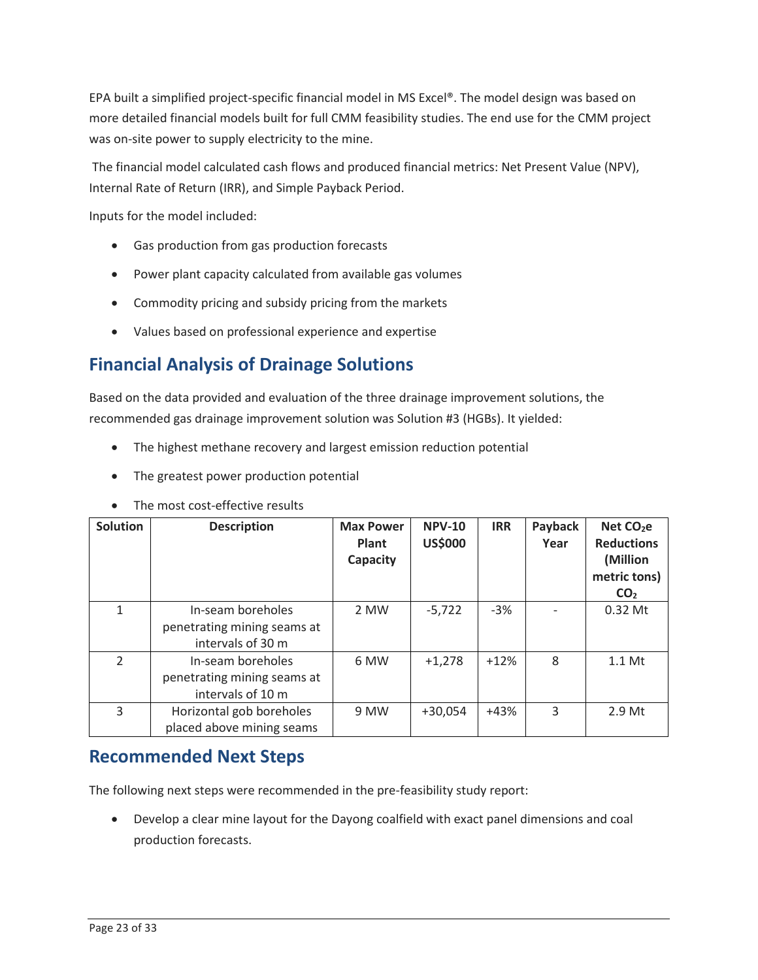more detailed financial models built for full CMM feasibility studies. The end use for the CMM project was on-site power to supply electricity to the mine. EPA built a simplified project-specific financial model in MS Excel®. The model design was based on

 Internal Rate of Return (IRR), and Simple Payback Period. The financial model calculated cash flows and produced financial metrics: Net Present Value (NPV),

Inputs for the model included:

- Gas production from gas production forecasts
- Power plant capacity calculated from available gas volumes
- Commodity pricing and subsidy pricing from the markets
- Values based on professional experience and expertise

### **Financial Analysis of Drainage Solutions**

 recommended gas drainage improvement solution was Solution #3 (HGBs). It yielded: Based on the data provided and evaluation of the three drainage improvement solutions, the

- The highest methane recovery and largest emission reduction potential
- The greatest power production potential

| Solution      | <b>Description</b>                                                    | <b>Max Power</b><br>Plant<br>Capacity | <b>NPV-10</b><br><b>US\$000</b> | <b>IRR</b> | Payback<br>Year | Net $CO2e$<br><b>Reductions</b><br>(Million<br>metric tons)<br>CO <sub>2</sub> |
|---------------|-----------------------------------------------------------------------|---------------------------------------|---------------------------------|------------|-----------------|--------------------------------------------------------------------------------|
|               | In-seam boreholes<br>penetrating mining seams at<br>intervals of 30 m | 2 MW                                  | $-5,722$                        | $-3%$      |                 | $0.32$ Mt                                                                      |
| $\mathcal{P}$ | In-seam boreholes<br>penetrating mining seams at<br>intervals of 10 m | 6 MW                                  | $+1.278$                        | $+12%$     | 8               | $1.1$ Mt                                                                       |
| 3             | Horizontal gob boreholes<br>placed above mining seams                 | 9 MW                                  | $+30,054$                       | $+43%$     | 3               | 2.9 <sub>Mt</sub>                                                              |

• The most cost-effective results

#### **Recommended Next Steps**

The following next steps were recommended in the pre-feasibility study report:

production forecasts. • Develop a clear mine layout for the Dayong coalfield with exact panel dimensions and coal production forecasts.<br>Page 23 of 33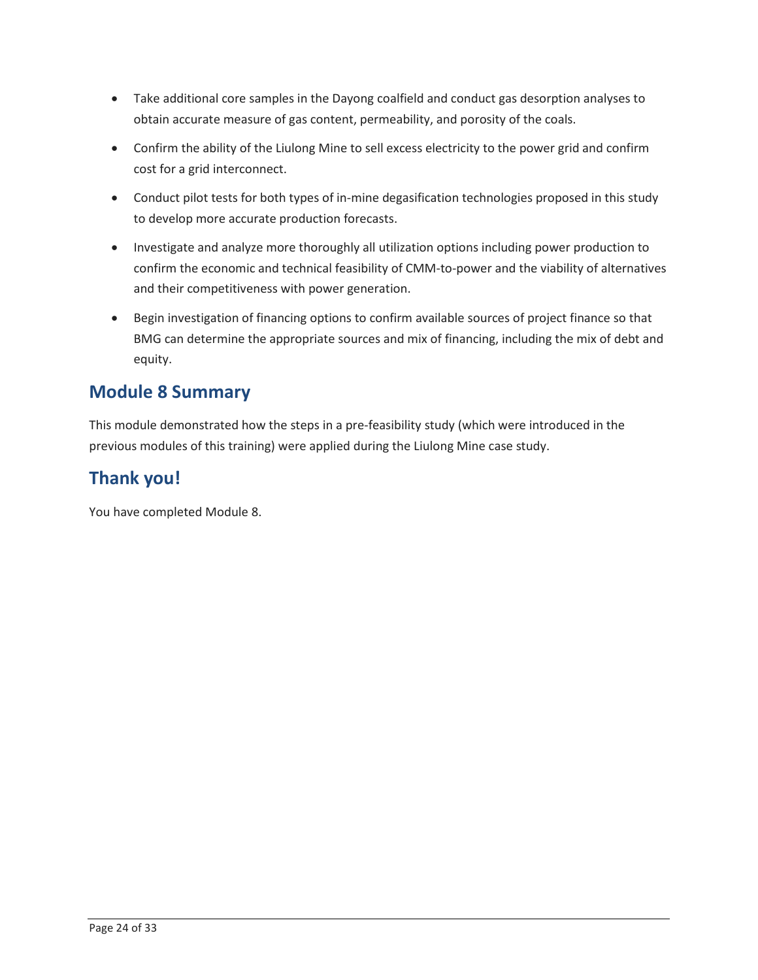- • Take additional core samples in the Dayong coalfield and conduct gas desorption analyses to obtain accurate measure of gas content, permeability, and porosity of the coals.
- • Confirm the ability of the Liulong Mine to sell excess electricity to the power grid and confirm cost for a grid interconnect.
- Conduct pilot tests for both types of in-mine degasification technologies proposed in this study to develop more accurate production forecasts.
- confirm the economic and technical feasibility of CMM-to-power and the viability of alternatives and their competitiveness with power generation. • Investigate and analyze more thoroughly all utilization options including power production to
- BMG can determine the appropriate sources and mix of financing, including the mix of debt and • Begin investigation of financing options to confirm available sources of project finance so that equity.

### **Module 8 Summary**

 This module demonstrated how the steps in a pre-feasibility study (which were introduced in the previous modules of this training) were applied during the Liulong Mine case study.

### **Thank you!**

You have completed Module 8.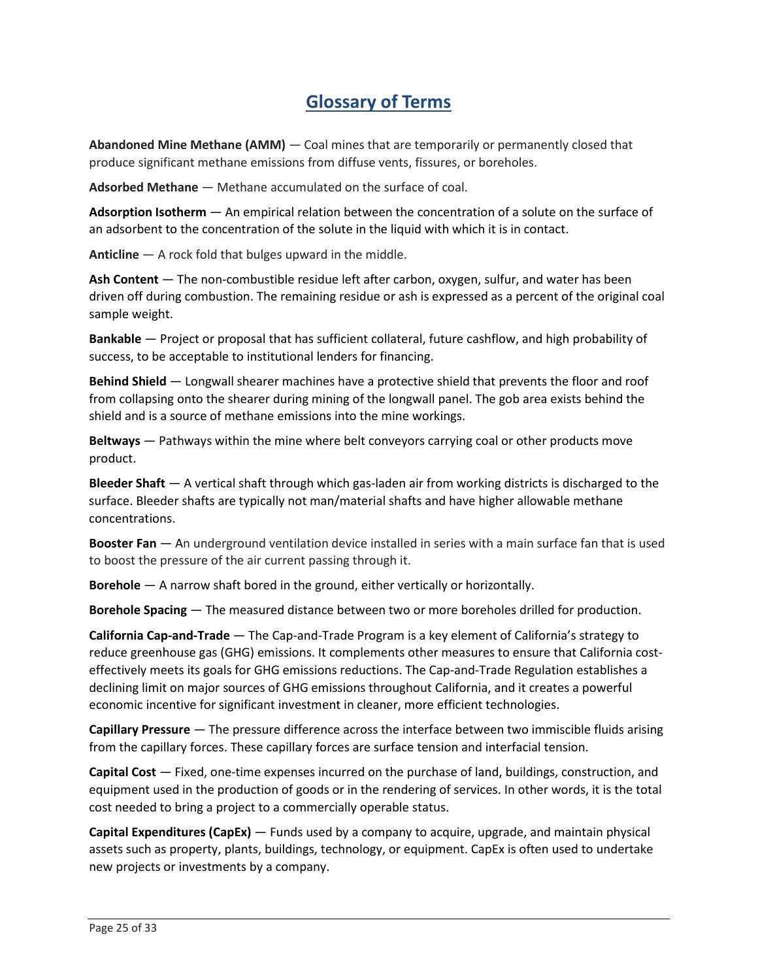### **Glossary of Terms**

 **Abandoned Mine Methane (AMM)** — Coal mines that are temporarily or permanently closed that  produce significant methane emissions from diffuse vents, fissures, or boreholes.

**Adsorbed Methane** — Methane accumulated on the surface of coal.

 **Adsorption Isotherm** — An empirical relation between the concentration of a solute on the surface of an adsorbent to the concentration of the solute in the liquid with which it is in contact.

**Anticline** — A rock fold that bulges upward in the middle.

 **Ash Content** — The non-combustible residue left after carbon, oxygen, sulfur, and water has been driven off during combustion. The remaining residue or ash is expressed as a percent of the original coal sample weight.

 **Bankable** — Project or proposal that has sufficient collateral, future cashflow, and high probability of success, to be acceptable to institutional lenders for financing.

 **Behind Shield** — Longwall shearer machines have a protective shield that prevents the floor and roof shield and is a source of methane emissions into the mine workings. from collapsing onto the shearer during mining of the longwall panel. The gob area exists behind the

 **Beltways** — Pathways within the mine where belt conveyors carrying coal or other products move product.

 **Bleeder Shaft** — A vertical shaft through which gas-laden air from working districts is discharged to the surface. Bleeder shafts are typically not man/material shafts and have higher allowable methane concentrations.

 **Booster Fan** — An underground ventilation device installed in series with a main surface fan that is used to boost the pressure of the air current passing through it.

**Borehole** — A narrow shaft bored in the ground, either vertically or horizontally.

**Borehole Spacing** — The measured distance between two or more boreholes drilled for production.

 **California Cap-and-Trade** — The Cap-and-Trade Program is a key element of California's strategy to effectively meets its goals for GHG emissions reductions. The Cap-and-Trade Regulation establishes a declining limit on major sources of GHG emissions throughout California, and it creates a powerful reduce greenhouse gas (GHG) emissions. It complements other measures to ensure that California costeconomic incentive for significant investment in cleaner, more efficient technologies.

 **Capillary Pressure** — The pressure difference across the interface between two immiscible fluids arising from the capillary forces. These capillary forces are surface tension and interfacial tension.

 **Capital Cost** — Fixed, one-time expenses incurred on the purchase of land, buildings, construction, and equipment used in the production of goods or in the rendering of services. In other words, it is the total cost needed to bring a project to a commercially operable status.

 **Capital Expenditures (CapEx)** — Funds used by a company to acquire, upgrade, and maintain physical assets such as property, plants, buildings, technology, or equipment. CapEx is often used to undertake new projects or investments by a company.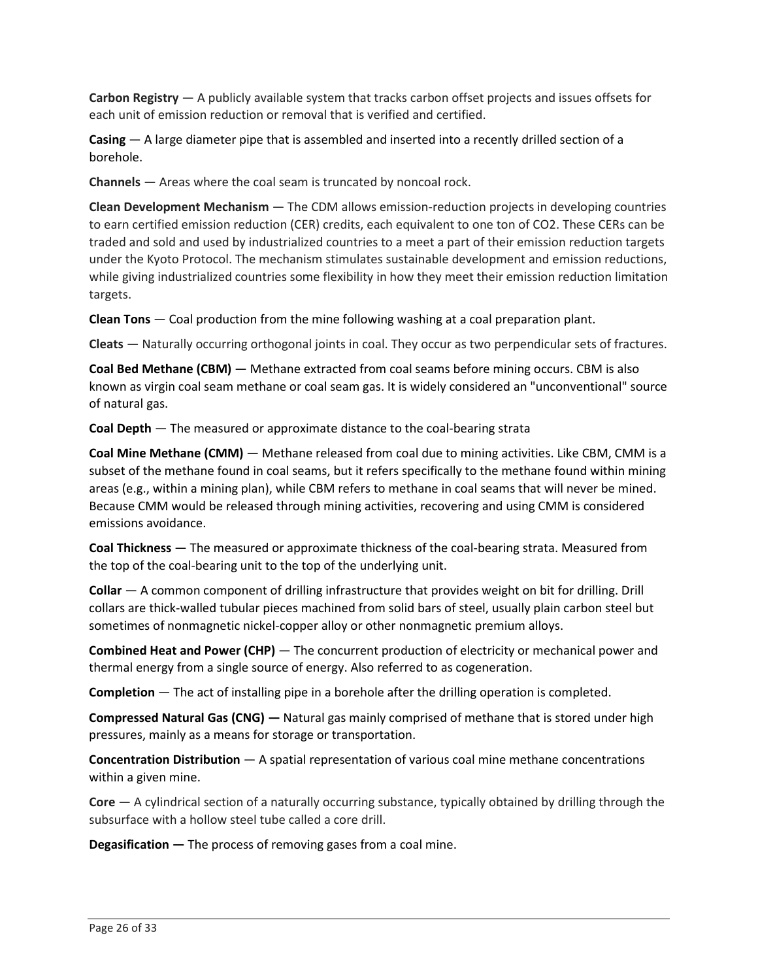**Carbon Registry** — A publicly available system that tracks carbon offset projects and issues offsets for each unit of emission reduction or removal that is verified and certified.

 **Casing** — A large diameter pipe that is assembled and inserted into a recently drilled section of a borehole.

**Channels** — Areas where the coal seam is truncated by noncoal rock.

 **Clean Development Mechanism** — The CDM allows emission-reduction projects in developing countries to earn certified emission reduction (CER) credits, each equivalent to one ton of CO2. These CERs can be traded and sold and used by industrialized countries to a meet a part of their emission reduction targets under the Kyoto Protocol. The mechanism stimulates sustainable development and emission reductions, while giving industrialized countries some flexibility in how they meet their emission reduction limitation targets.

**Clean Tons** — Coal production from the mine following washing at a coal preparation plant.

**Cleats** — Naturally occurring orthogonal joints in coal. They occur as two perpendicular sets of fractures.

 **Coal Bed Methane (CBM)** — Methane extracted from coal seams before mining occurs. CBM is also known as virgin coal seam methane or coal seam gas. It is widely considered an "unconventional" source of natural gas.

**Coal Depth** — The measured or approximate distance to the coal-bearing strata

 **Coal Mine Methane (CMM)** — Methane released from coal due to mining activities. Like CBM, CMM is a subset of the methane found in coal seams, but it refers specifically to the methane found within mining areas (e.g., within a mining plan), while CBM refers to methane in coal seams that will never be mined. Because CMM would be released through mining activities, recovering and using CMM is considered emissions avoidance.

 **Coal Thickness** — The measured or approximate thickness of the coal-bearing strata. Measured from the top of the coal-bearing unit to the top of the underlying unit.

 **Collar** — A common component of drilling infrastructure that provides weight on bit for drilling. Drill collars are thick-walled tubular pieces machined from solid bars of steel, usually plain carbon steel but sometimes of nonmagnetic nickel-copper alloy or other nonmagnetic premium alloys.

**Combined Heat and Power (CHP)** — The concurrent production of electricity or mechanical power and thermal energy from a single source of energy. Also referred to as cogeneration.

**Completion** — The act of installing pipe in a borehole after the drilling operation is completed.

**Compressed Natural Gas (CNG) —** Natural gas mainly comprised of methane that is stored under high pressures, mainly as a means for storage or transportation.

 **Concentration Distribution** — A spatial representation of various coal mine methane concentrations within a given mine.

 **Core** — A cylindrical section of a naturally occurring substance, typically obtained by drilling through the subsurface with a hollow steel tube called a core drill.

**Degasification —** The process of removing gases from a coal mine.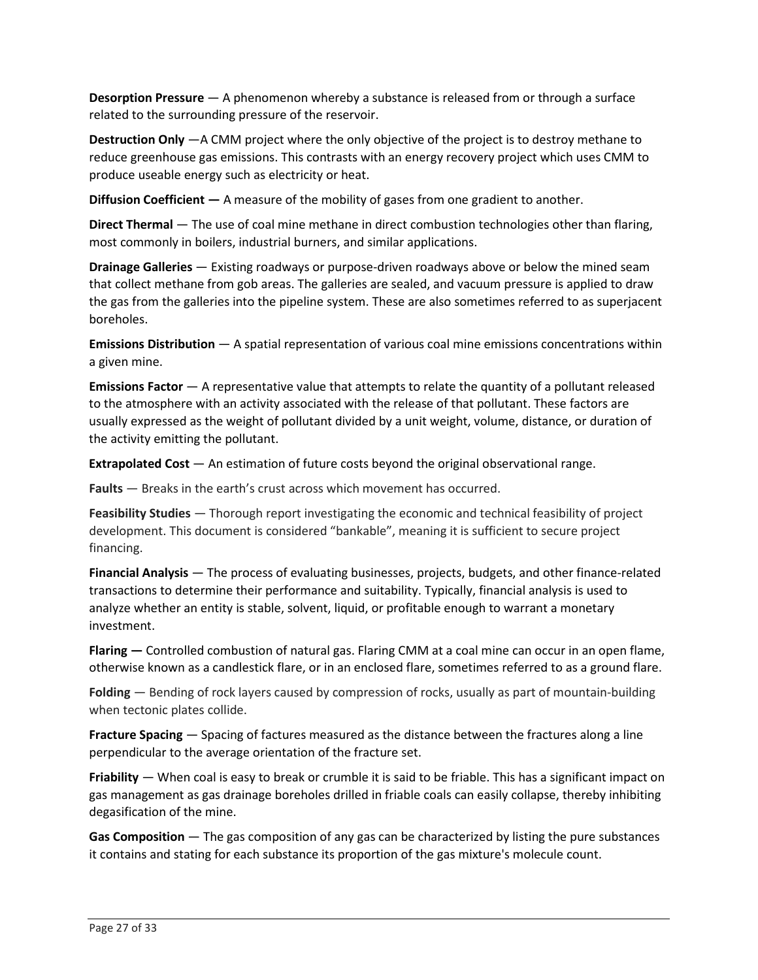**Desorption Pressure** — A phenomenon whereby a substance is released from or through a surface related to the surrounding pressure of the reservoir.

 **Destruction Only** —A CMM project where the only objective of the project is to destroy methane to reduce greenhouse gas emissions. This contrasts with an energy recovery project which uses CMM to produce useable energy such as electricity or heat.

**Diffusion Coefficient —** A measure of the mobility of gases from one gradient to another.

 **Direct Thermal** — The use of coal mine methane in direct combustion technologies other than flaring, most commonly in boilers, industrial burners, and similar applications.

 **Drainage Galleries** — Existing roadways or purpose-driven roadways above or below the mined seam that collect methane from gob areas. The galleries are sealed, and vacuum pressure is applied to draw the gas from the galleries into the pipeline system. These are also sometimes referred to as superjacent boreholes.

 **Emissions Distribution** — A spatial representation of various coal mine emissions concentrations within a given mine.

 **Emissions Factor** — A representative value that attempts to relate the quantity of a pollutant released usually expressed as the weight of pollutant divided by a unit weight, volume, distance, or duration of to the atmosphere with an activity associated with the release of that pollutant. These factors are the activity emitting the pollutant.

**Extrapolated Cost** — An estimation of future costs beyond the original observational range.

**Faults** — Breaks in the earth's crust across which movement has occurred.

 **Feasibility Studies** — Thorough report investigating the economic and technical feasibility of project development. This document is considered "bankable", meaning it is sufficient to secure project financing.

 **Financial Analysis** — The process of evaluating businesses, projects, budgets, and other finance-related analyze whether an entity is stable, solvent, liquid, or profitable enough to warrant a monetary transactions to determine their performance and suitability. Typically, financial analysis is used to investment.

 otherwise known as a candlestick flare, or in an enclosed flare, sometimes referred to as a ground flare. **Flaring —** Controlled combustion of natural gas. Flaring CMM at a coal mine can occur in an open flame,

 **Folding** — Bending of rock layers caused by compression of rocks, usually as part of mountain-building when tectonic plates collide.

 **Fracture Spacing** — Spacing of factures measured as the distance between the fractures along a line perpendicular to the average orientation of the fracture set.

 **Friability** — When coal is easy to break or crumble it is said to be friable. This has a significant impact on gas management as gas drainage boreholes drilled in friable coals can easily collapse, thereby inhibiting degasification of the mine.

 **Gas Composition** — The gas composition of any gas can be characterized by listing the pure substances it contains and stating for each substance its proportion of the gas mixture's molecule count.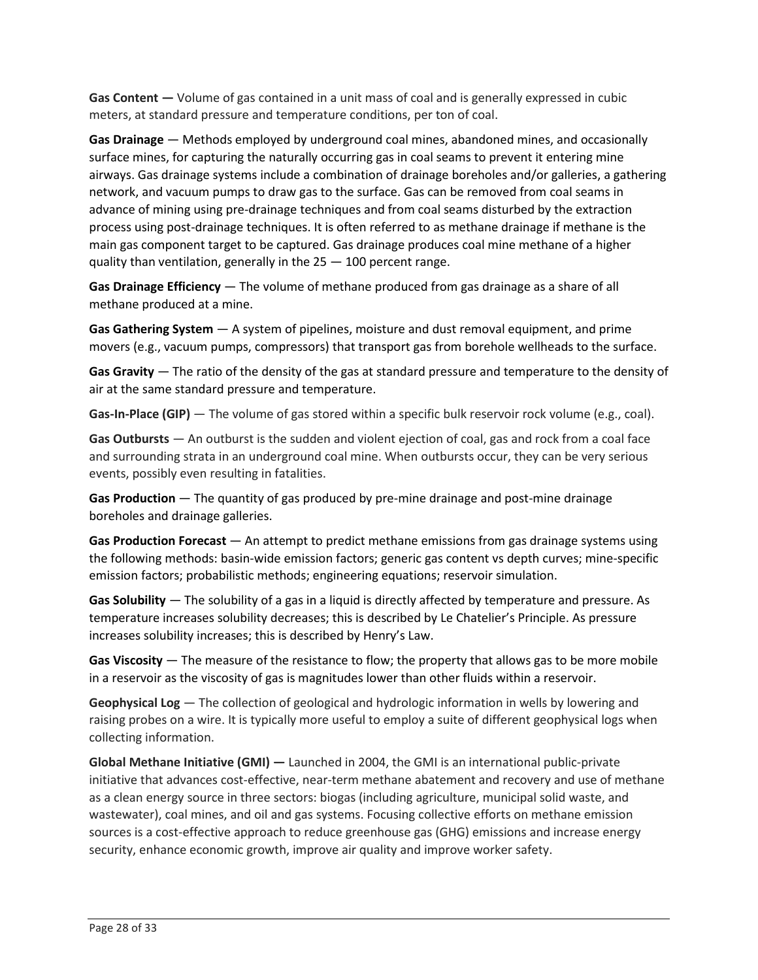**Gas Content —** Volume of gas contained in a unit mass of coal and is generally expressed in cubic meters, at standard pressure and temperature conditions, per ton of coal.

 **Gas Drainage** — Methods employed by underground coal mines, abandoned mines, and occasionally advance of mining using pre-drainage techniques and from coal seams disturbed by the extraction surface mines, for capturing the naturally occurring gas in coal seams to prevent it entering mine airways. Gas drainage systems include a combination of drainage boreholes and/or galleries, a gathering network, and vacuum pumps to draw gas to the surface. Gas can be removed from coal seams in process using post-drainage techniques. It is often referred to as methane drainage if methane is the main gas component target to be captured. Gas drainage produces coal mine methane of a higher quality than ventilation, generally in the 25 — 100 percent range.

 **Gas Drainage Efficiency** — The volume of methane produced from gas drainage as a share of all methane produced at a mine.

 **Gas Gathering System** — A system of pipelines, moisture and dust removal equipment, and prime  movers (e.g., vacuum pumps, compressors) that transport gas from borehole wellheads to the surface.

 **Gas Gravity** — The ratio of the density of the gas at standard pressure and temperature to the density of air at the same standard pressure and temperature.

Gas-In-Place (GIP) — The volume of gas stored within a specific bulk reservoir rock volume (e.g., coal).

 **Gas Outbursts** — An outburst is the sudden and violent ejection of coal, gas and rock from a coal face events, possibly even resulting in fatalities. and surrounding strata in an underground coal mine. When outbursts occur, they can be very serious

 **Gas Production** — The quantity of gas produced by pre-mine drainage and post-mine drainage boreholes and drainage galleries.

 **Gas Production Forecast** — An attempt to predict methane emissions from gas drainage systems using the following methods: basin-wide emission factors; generic gas content vs depth curves; mine-specific emission factors; probabilistic methods; engineering equations; reservoir simulation.

 **Gas Solubility** — The solubility of a gas in a liquid is directly affected by temperature and pressure. As temperature increases solubility decreases; this is described by Le Chatelier's Principle. As pressure increases solubility increases; this is described by Henry's Law.

 **Gas Viscosity** — The measure of the resistance to flow; the property that allows gas to be more mobile in a reservoir as the viscosity of gas is magnitudes lower than other fluids within a reservoir.

 **Geophysical Log** — The collection of geological and hydrologic information in wells by lowering and raising probes on a wire. It is typically more useful to employ a suite of different geophysical logs when collecting information.

 **Global Methane Initiative (GMI) —** Launched in 2004, the GMI is an international public-private initiative that advances cost-effective, near-term methane abatement and recovery and use of methane sources is a cost-effective approach to reduce greenhouse gas (GHG) emissions and increase energy as a clean energy source in three sectors: biogas (including agriculture, municipal solid waste, and wastewater), coal mines, and oil and gas systems. Focusing collective efforts on methane emission security, enhance economic growth, improve air quality and improve worker safety.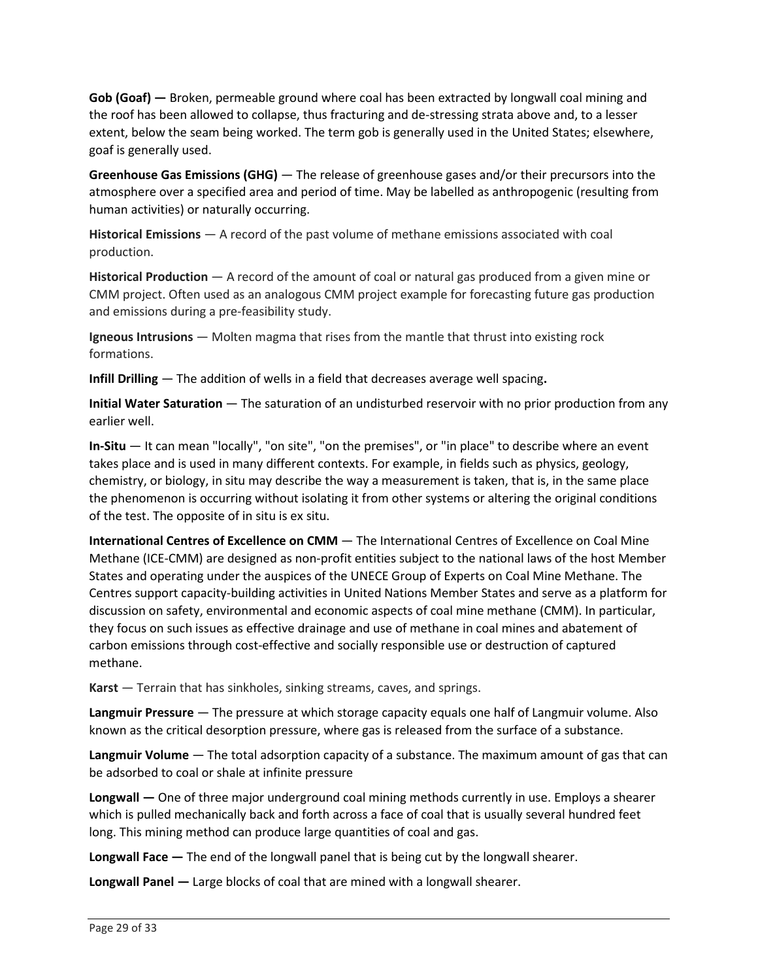**Gob (Goaf) —** Broken, permeable ground where coal has been extracted by longwall coal mining and the roof has been allowed to collapse, thus fracturing and de-stressing strata above and, to a lesser extent, below the seam being worked. The term gob is generally used in the United States; elsewhere, goaf is generally used.

 **Greenhouse Gas Emissions (GHG)** — The release of greenhouse gases and/or their precursors into the atmosphere over a specified area and period of time. May be labelled as anthropogenic (resulting from human activities) or naturally occurring.

 **Historical Emissions** — A record of the past volume of methane emissions associated with coal production.

 **Historical Production** — A record of the amount of coal or natural gas produced from a given mine or  and emissions during a pre-feasibility study. CMM project. Often used as an analogous CMM project example for forecasting future gas production

 **Igneous Intrusions** — Molten magma that rises from the mantle that thrust into existing rock formations.

**Infill Drilling** — The addition of wells in a field that decreases average well spacing**.** 

 **Initial Water Saturation** — The saturation of an undisturbed reservoir with no prior production from any earlier well.

 **In-Situ** — It can mean "locally", "on site", "on the premises", or "in place" to describe where an event takes place and is used in many different contexts. For example, in fields such as physics, geology, chemistry, or biology, in situ may describe the way a measurement is taken, that is, in the same place the phenomenon is occurring without isolating it from other systems or altering the original conditions of the test. The opposite of in situ is ex situ.

 **International Centres of Excellence on CMM** — The International Centres of Excellence on Coal Mine States and operating under the auspices of the UNECE Group of Experts on Coal Mine Methane. The Centres support capacity-building activities in United Nations Member States and serve as a platform for Methane (ICE-CMM) are designed as non-profit entities subject to the national laws of the host Member discussion on safety, environmental and economic aspects of coal mine methane (CMM). In particular, they focus on such issues as effective drainage and use of methane in coal mines and abatement of carbon emissions through cost-effective and socially responsible use or destruction of captured methane.

**Karst** — Terrain that has sinkholes, sinking streams, caves, and springs.

 **Langmuir Pressure** — The pressure at which storage capacity equals one half of Langmuir volume. Also known as the critical desorption pressure, where gas is released from the surface of a substance.

 **Langmuir Volume** — The total adsorption capacity of a substance. The maximum amount of gas that can be adsorbed to coal or shale at infinite pressure

 **Longwall —** One of three major underground coal mining methods currently in use. Employs a shearer long. This mining method can produce large quantities of coal and gas. which is pulled mechanically back and forth across a face of coal that is usually several hundred feet

**Longwall Face —** The end of the longwall panel that is being cut by the longwall shearer.

**Longwall Panel —** Large blocks of coal that are mined with a longwall shearer.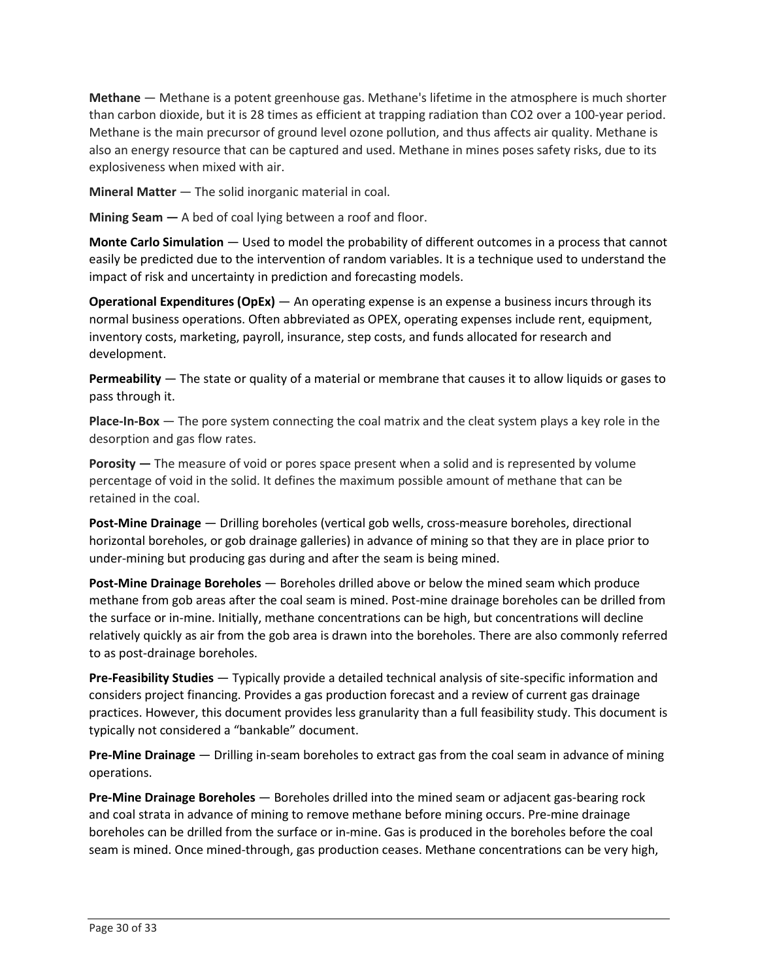**Methane** — Methane is a potent greenhouse gas. Methane's lifetime in the atmosphere is much shorter Methane is the main precursor of ground level ozone pollution, and thus affects air quality. Methane is also an energy resource that can be captured and used. Methane in mines poses safety risks, due to its than carbon dioxide, but it is 28 times as efficient at trapping radiation than CO2 over a 100-year period. explosiveness when mixed with air.

**Mineral Matter** — The solid inorganic material in coal.

**Mining Seam —** A bed of coal lying between a roof and floor.

 **Monte Carlo Simulation** — Used to model the probability of different outcomes in a process that cannot easily be predicted due to the intervention of random variables. It is a technique used to understand the impact of risk and uncertainty in prediction and forecasting models.

 **Operational Expenditures (OpEx)** — An operating expense is an expense a business incurs through its normal business operations. Often abbreviated as OPEX, operating expenses include rent, equipment, inventory costs, marketing, payroll, insurance, step costs, and funds allocated for research and development.

 **Permeability** — The state or quality of a material or membrane that causes it to allow liquids or gases to pass through it.

 **Place-In-Box** — The pore system connecting the coal matrix and the cleat system plays a key role in the desorption and gas flow rates.

 **Porosity —** The measure of void or pores space present when a solid and is represented by volume percentage of void in the solid. It defines the maximum possible amount of methane that can be retained in the coal.

 under-mining but producing gas during and after the seam is being mined. **Post-Mine Drainage** — Drilling boreholes (vertical gob wells, cross-measure boreholes, directional horizontal boreholes, or gob drainage galleries) in advance of mining so that they are in place prior to

 **Post-Mine Drainage Boreholes** — Boreholes drilled above or below the mined seam which produce methane from gob areas after the coal seam is mined. Post-mine drainage boreholes can be drilled from the surface or in-mine. Initially, methane concentrations can be high, but concentrations will decline relatively quickly as air from the gob area is drawn into the boreholes. There are also commonly referred to as post-drainage boreholes.

 **Pre-Feasibility Studies** — Typically provide a detailed technical analysis of site-specific information and typically not considered a "bankable" document. considers project financing. Provides a gas production forecast and a review of current gas drainage practices. However, this document provides less granularity than a full feasibility study. This document is

 **Pre-Mine Drainage** — Drilling in-seam boreholes to extract gas from the coal seam in advance of mining operations.

 **Pre-Mine Drainage Boreholes** — Boreholes drilled into the mined seam or adjacent gas-bearing rock seam is mined. Once mined-through, gas production ceases. Methane concentrations can be very high, and coal strata in advance of mining to remove methane before mining occurs. Pre-mine drainage boreholes can be drilled from the surface or in-mine. Gas is produced in the boreholes before the coal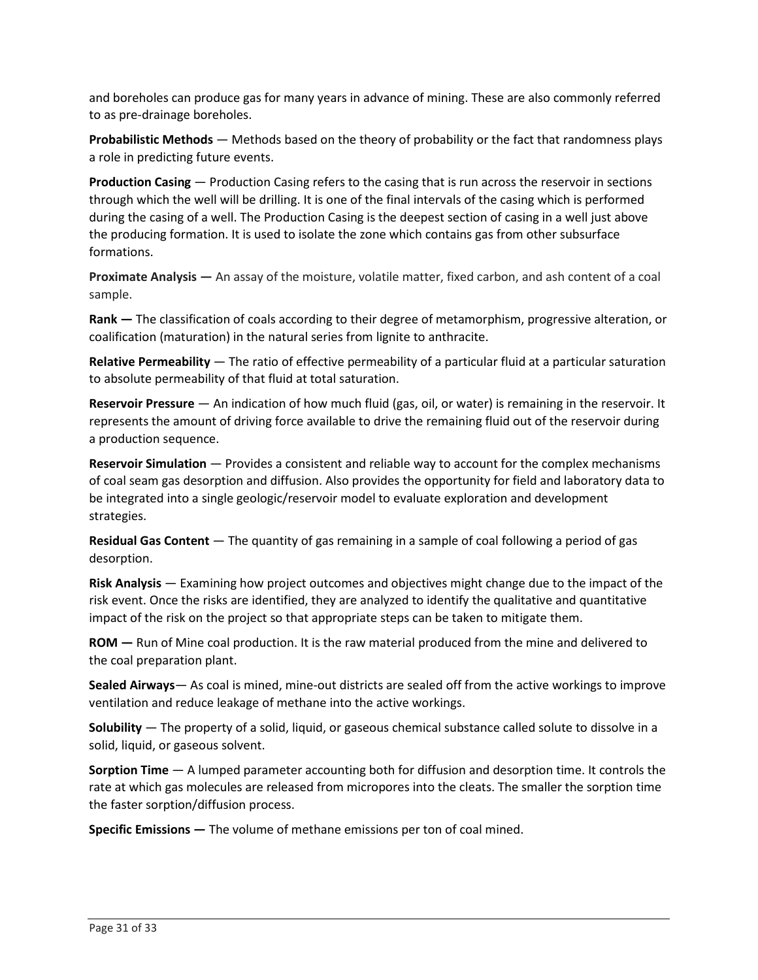and boreholes can produce gas for many years in advance of mining. These are also commonly referred to as pre-drainage boreholes.

 **Probabilistic Methods** — Methods based on the theory of probability or the fact that randomness plays a role in predicting future events.

 **Production Casing** — Production Casing refers to the casing that is run across the reservoir in sections through which the well will be drilling. It is one of the final intervals of the casing which is performed during the casing of a well. The Production Casing is the deepest section of casing in a well just above the producing formation. It is used to isolate the zone which contains gas from other subsurface formations.

 **Proximate Analysis —** An assay of the moisture, volatile matter, fixed carbon, and ash content of a coal sample.

 **Rank —** The classification of coals according to their degree of metamorphism, progressive alteration, or coalification (maturation) in the natural series from lignite to anthracite.

 **Relative Permeability** — The ratio of effective permeability of a particular fluid at a particular saturation to absolute permeability of that fluid at total saturation.

 **Reservoir Pressure** — An indication of how much fluid (gas, oil, or water) is remaining in the reservoir. It represents the amount of driving force available to drive the remaining fluid out of the reservoir during a production sequence.

 **Reservoir Simulation** — Provides a consistent and reliable way to account for the complex mechanisms of coal seam gas desorption and diffusion. Also provides the opportunity for field and laboratory data to be integrated into a single geologic/reservoir model to evaluate exploration and development strategies.

 **Residual Gas Content** — The quantity of gas remaining in a sample of coal following a period of gas desorption.

 **Risk Analysis** — Examining how project outcomes and objectives might change due to the impact of the risk event. Once the risks are identified, they are analyzed to identify the qualitative and quantitative impact of the risk on the project so that appropriate steps can be taken to mitigate them.

 **ROM —** Run of Mine coal production. It is the raw material produced from the mine and delivered to the coal preparation plant.

 ventilation and reduce leakage of methane into the active workings. **Sealed Airways**— As coal is mined, mine-out districts are sealed off from the active workings to improve

 **Solubility** — The property of a solid, liquid, or gaseous chemical substance called solute to dissolve in a solid, liquid, or gaseous solvent.

 **Sorption Time** — A lumped parameter accounting both for diffusion and desorption time. It controls the rate at which gas molecules are released from micropores into the cleats. The smaller the sorption time the faster sorption/diffusion process.

 **Specific Emissions —** The volume of methane emissions per ton of coal mined.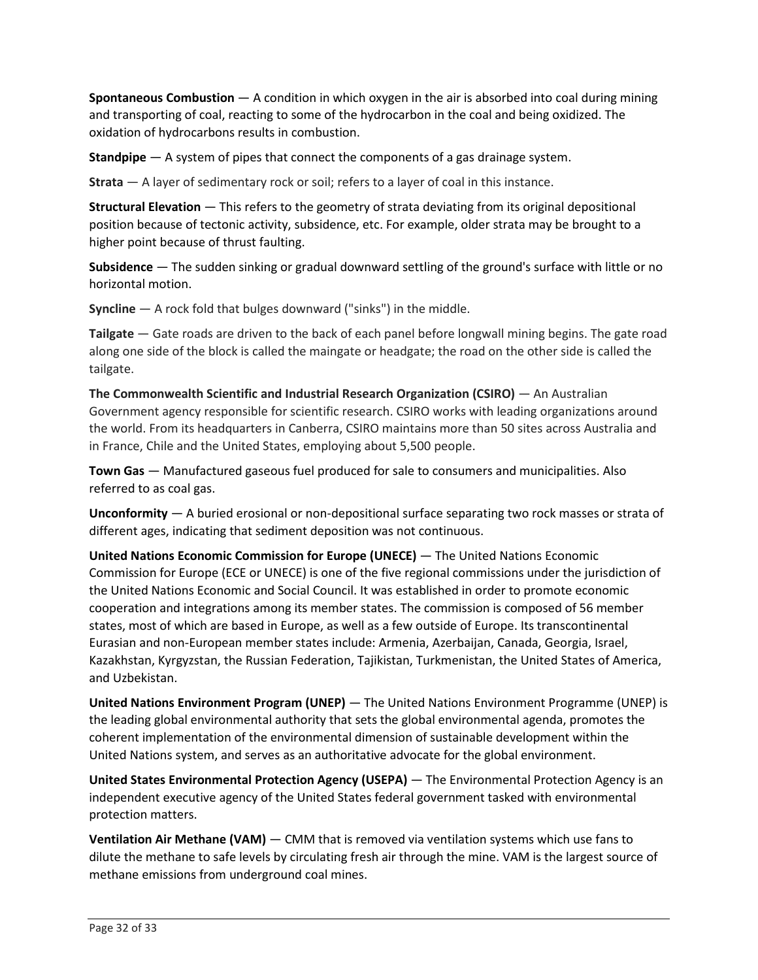**Spontaneous Combustion** — A condition in which oxygen in the air is absorbed into coal during mining and transporting of coal, reacting to some of the hydrocarbon in the coal and being oxidized. The oxidation of hydrocarbons results in combustion.

**Standpipe** — A system of pipes that connect the components of a gas drainage system.

**Strata** — A layer of sedimentary rock or soil; refers to a layer of coal in this instance.

 **Structural Elevation** — This refers to the geometry of strata deviating from its original depositional position because of tectonic activity, subsidence, etc. For example, older strata may be brought to a higher point because of thrust faulting.

 **Subsidence** — The sudden sinking or gradual downward settling of the ground's surface with little or no horizontal motion.

**Syncline** — A rock fold that bulges downward ("sinks") in the middle.

 **Tailgate** — Gate roads are driven to the back of each panel before longwall mining begins. The gate road along one side of the block is called the maingate or headgate; the road on the other side is called the tailgate.

 the world. From its headquarters in Canberra, CSIRO maintains more than 50 sites across Australia and **The Commonwealth Scientific and Industrial Research Organization (CSIRO)** — An Australian Government agency responsible for scientific research. CSIRO works with leading organizations around in France, Chile and the United States, employing about 5,500 people.

 **Town Gas** — Manufactured gaseous fuel produced for sale to consumers and municipalities. Also referred to as coal gas.

 **Unconformity** — A buried erosional or non-depositional surface separating two rock masses or strata of different ages, indicating that sediment deposition was not continuous.

 **United Nations Economic Commission for Europe (UNECE)** — The United Nations Economic Commission for Europe (ECE or UNECE) is one of the five regional commissions under the jurisdiction of states, most of which are based in Europe, as well as a few outside of Europe. Its transcontinental Kazakhstan, Kyrgyzstan, the Russian Federation, Tajikistan, Turkmenistan, the United States of America, the United Nations Economic and Social Council. It was established in order to promote economic cooperation and integrations among its member states. The commission is composed of 56 member Eurasian and non-European member states include: Armenia, Azerbaijan, Canada, Georgia, Israel, and Uzbekistan.

 **United Nations Environment Program (UNEP)** — The United Nations Environment Programme (UNEP) is the leading global environmental authority that sets the global environmental agenda, promotes the coherent implementation of the environmental dimension of sustainable development within the United Nations system, and serves as an authoritative advocate for the global environment.

 **United States Environmental Protection Agency (USEPA)** — The Environmental Protection Agency is an independent executive agency of the United States federal government tasked with environmental protection matters.

 **Ventilation Air Methane (VAM)** — CMM that is removed via ventilation systems which use fans to dilute the methane to safe levels by circulating fresh air through the mine. VAM is the largest source of methane emissions from underground coal mines.